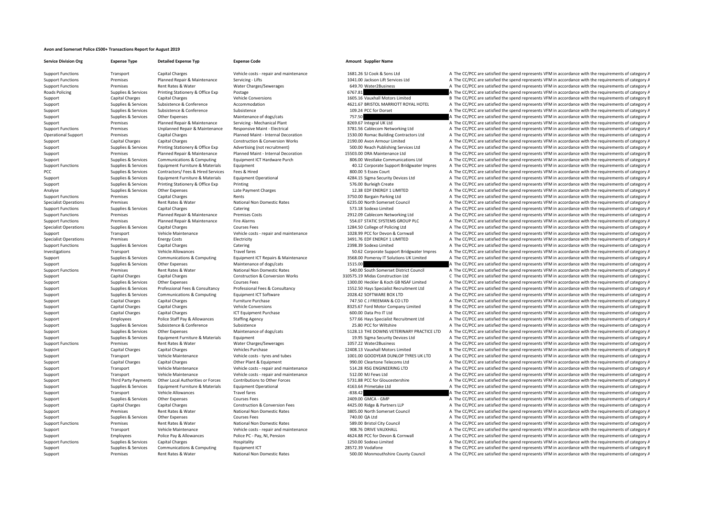## **Avon and Somerset Police £500+ Transactions Report for August 2019**

| <b>Support Functions</b>            |
|-------------------------------------|
| <b>Support Functions</b>            |
| <b>Support Functions</b>            |
| <b>Roads Policing</b>               |
| Support                             |
| Support                             |
| Support                             |
| Support                             |
| Support                             |
| <b>Support Functions</b>            |
| Operational Support                 |
| Support                             |
| Support                             |
| Support                             |
| Support<br><b>Support Functions</b> |
| PCC                                 |
| Support                             |
| Support                             |
| Analyse                             |
| <b>Support Functions</b>            |
| <b>Specialist Operations</b>        |
| <b>Support Functions</b>            |
| <b>Support Functions</b>            |
| <b>Support Functions</b>            |
| <b>Specialist Operations</b>        |
| Support                             |
| <b>Specialist Operations</b>        |
| <b>Support Functions</b>            |
| Investigations<br>Support           |
| Support                             |
| <b>Support Functions</b>            |
| Support                             |
| Support                             |
| Support                             |
| Support                             |
| Support                             |
| Support                             |
| Support                             |
| Support                             |
| Support                             |
| Support                             |
| Support<br><b>Support Functions</b> |
| Support                             |
| Support                             |
| Support                             |
| Support                             |
| Support                             |
| Support                             |
| Support                             |
| Support                             |
| Support                             |
| Support                             |
| Support                             |
| Support                             |
| <b>Support Functions</b>            |
| Support<br>Support                  |
| <b>Support Functions</b>            |
| Support                             |
|                                     |

**Service Division Org Expense Type Detailed Expense Typ Expense Code Amount Supplier Name**

Transport Capital Charges Vehicle costs - repair and maintenance 1681.26 SJ Cook & Sons Ltd A The CC/PCC are satisfied the spend represents VFM in accordance with the requirements of category A

Support Premises Rent Rates & Water National Non Domestic Rates 500.00 Monmouthshire County Council A The CC/PCC are satisfied the spend represents VFM in accordance with the requirements of category A

Premises Planned Repair & Maintenance Servicing - Lifts 1041.00 Jackson Lift Services Ltd A The CC/PCC are satisfied the spend represents VFM in accordance with the requirements of category A Support Functions Premises Rent Rates & Water Charges/Sewerages 649.70 Water2Business A The CC/PCC are satisfied the spend represents VFM in accordance with the requirements of category A The Critical Sections A The CC/PCC Supplies & Services Printing Stationery & Office Exp Postage Protections and Supplies Category A The CC/PCC are satisfied the spend represents VFM in accordance with the requirements of category A The CC/PCC are satisfied Capital Charges Capital Charges Vehicle Conversions 1605.16 Vauxhall Motors Limited B The CC/PCC are satisfied the spend represents VFM in accordance with the requirements of category B Supplies & Services Subsistence & Conference Accommodation 4621.67 BRISTOL MARRIOTT ROYAL HOTEL A The CC/PCC are satisfied the spend represents VFM in accordance with the requirements of category A Supplies & Services Subsistence Subsistence Subsistence Subsistence Subsistence Subsistence Subsistence Subsistence of dors/cats a The COC are satisfied the spend represents VFM in accordance with the requirements of categ Other Expenses Maintenance of dogs/cats 757.50 757.50 A The CC/PCC are satisfied the spend represents VFM in accordance with the requirements of category A Support Premises Planned Repair & Maintenance Servicing - Mechanical Plant 8269.67 Integral UK Ltd A The CC/PCC are satisfied the spend represents VFM in accordance with the requirements of category A The Critical Premises Support Functions Are pair Functions A The CC/PCC are satisfied the spend represents VFM in accordance with the requirements of category A Premises Capital Charges Planned Maint - Internal Decoration 1530.00 Romac Building Contractors Ltd A The CC/PCC are satisfied the spend represents VFM in accordance with the requirements of category A Support Capital Charges Capital Charges Construction & Conversion Works 2190.00 Avon Armour Limited A The CC/PCC are satisfied the spend represents VFM in accordance with the requirements of category A Support Category A S A The CC/PCC are satisfied the spend represents VFM in accordance with the requirements of category A Premises Planned Repair & Maintenance Planned Maint - Internal Decoration 15503.00 DRA Maintenance Ltd B The CC/PCC are satisfied the spend represents VFM in accordance with the requirements of category B Supplies & Services Communications & Computing Equipment ICT Hardware Purch 806.00 Westlake Communications Ltd A The CC/PCC are satisfied the spend represents VFM in accordance with the requirements of category A Supplies & Services Equipment Furniture & Materials Equipment 40.12 Corporate Support Bridgwater Impres A The CC/PCC are satisfied the spend represents VFM in accordance with the requirements of category A Pupplies & Services Contractors/ Fees & Hired Services Fees & Hired Services Supplies A The CC/PCC are satisfied the spend represents VFM in accordance with the requirements of category A The COND Services A The CC/PCC are Support Furniture & Materials Equipment Operational and the Services Company of the Support of the CC/PCC are satisfied the spend represents VFM in accordance with the requirements of category A The CC/PCC are satisfied th Supplies & Services Printing Stationery & Office Exp Printing State State State States A The CC/PCC are satisfied the spend represents VFM in accordance with the requirements of category A Supplies & Services Other Expenses Late Payment Charges 12.38 EDF ENERGY 1 LIMITED A The CC/PCC are satisfied the spend represents VFM in accordance with the requirements of category A Support Functions Premises Capital Charges Rents 3750.00 Bargain Parking Ltd A The CC/PCC are satisfied the spend represents VFM in accordance with the requirements of category A Fremises Rent Rates & Water Mational Non Domestic Rates 6235.00 North Somerset Council A The CC/PCC are satisfied the spend represents VFM in accordance with the requirements of category A Thanking a spending the spending Support Functions Supplies A The CC/PCC are satisfied the spend represents VFM in accordance with the requirements of category A The CC/PCC are satisfied the spend represents VFM in accordance with the requirements of cate Premises Planned Repair & Maintenance Premises Costs 2912.09 Cablecom Networking Ltd A The CC/PCC are satisfied the spend represents VFM in accordance with the requirements of category A Premises Planned Repair & Maintenance Fire Alarms 554.07 STATIC SYSTEMS GROUP PLC A The CC/PCC are satisfied the spend represents VFM in accordance with the requirements of category A Supplies Specialist Operations Courses Courses Courses Courses Courses Courses Courses Fees 1284.50 College of Policing Ltd A The CC/PCC are satisfied the spend represents VFM in accordance with the requirements of categor Support Vehicle Maintenance Vehicle costs - repair and maintenance 1028.99 PCC for Devon & Cornwall A The CC/PCC are satisfied the spend represents VFM in accordance with the requirements of category A The results and the Premises Energy Costs Electricity Electricity and the spendid of the Specialist Operations and the requirements of category A The CC/PCC are satisfied the spend represents VFM in accordance with the requirements of categor Supplies Support Capital Charges Catering Catering Category A The CC/PCC are satisfied A The CC/PCC are satisfied the spend represents VFM in accordance with the requirements of category A Travel fares Travel fares Travel fares and the Support Bridgwater Impres A The CC/PCC are satisfied the spend represents VFM in accordance with the requirements of category A Supplies & Services Communications & Computing Equipment ICT Repairs & Maintenance 3568.00 Pomeroy IT Solutions UK Limited A The CC/PCC are satisfied the spend represents VFM in accordance with the requirements of category Supplies & Services Other Expenses Maintenance of dogs/cats Maintenance of dogs/cats 1515.00 A The CC/PCC are satisfied the spend represents VFM in accordance with the requirements of category A The CC/PCC are satisfied th Premises Bunctions Rent Rates & Water National Non Domestic Rates Sational Non Domestic Rates 540.00 South Somerset District Council A The CC/PCC are satisfied the spend represents VFM in accordance with the requirements o Capital Charges Capital Charges Construction & Conversion Works 310575.19 Midas Construction Ltd C The CC/PCC are satisfied the spend represents VFM in accordance with the requirements of category C Supplies & Services Other Expenses Courses Fees 1300.00 Heckler & Koch GB NSAF Limited A The CC/PCC are satisfied the spend represents VFM in accordance with the requirements of category A Supplies & Services Professional Fees & Consultancy Professional Fees & Consultancy Consultancy 1552.50 Havs Specialist Recruitment Itd A The CC/PCC are satisfied the spend represents VEM in accordance with the requirement Supplies & Services Communications & Computing Equipment ICT Software 2028.42 SOFTWARE BOX LTD A The CC/PCC are satisfied the spend represents VFM in accordance with the requirements of category A Capital Charges Capital Charges Furniture Purchase 747.50 CJ FREEMAN & CO LTD A The CC/PCC are satisfied the spend represents VFM in accordance with the requirements of category A Support Capital Charges Capital Charges Support Capital Charges Vehicle Conversions 8325.67 Ford Motor Company Limited B The CC/PCC are satisfied the spend represents VFM in accordance with the requirements of category B C Capital Charges Capital Charges Capital Charges Capital Charges Capital Charges Capital Charges Capital Charges 1CT Equipment Purchase 600.00 Data Pro IT Ltd A The CC/PCC are satisfied the spend represents VFM in accordanc Employees Police Staff Pay & Allowances Staffing Agency Stategory A The CC/PCC are satisfied the spend represents VFM in accordance with the requirements of category A Supported Subsistence Subsistence Subsistence Subsistence 25.80 PCC for Wiltshire A The CC/PCC are satisfied the spend represents VFM in accordance with the requirements of category A Supplies & Services Other Expenses Maintenance of dogs/cats S128.13 THE DOWNS VETERINARY PRACTICE LTD A The CC/PCC are satisfied the spend represents VFM in accordance with the requirements of category A Supplies & Services Equipment Furniture & Materials Equipment 19.95 Sigma Security Devices Ltd A The CC/PCC are satisfied the spend represents VFM in accordance with the requirements of category A Support Functions Premises A The CC/PCC are satisfied the spend represents VFM in accordance with the requirements of category A The CC/PCC are satisfied the spend represents VFM in accordance with the requirements of cate B The CC/PCC are satisfied the spend represents VFM in accordance with the requirements of category B Transport Vehicle Maintenance Vehicle costs - tyres and tubes 1001.00 GOODYEAR DUNLOP TYRES UK LTD A The CC/PCC are satisfied the spend represents VFM in accordance with the requirements of category A Capital Charges Capital Charges Capital Charges Capital Charges Other Plant & Equipment 990.00 Cleartone Telecoms Ltd A The CC/PCC are satisfied the spend represents VFM in accordance with the requirements of category A Transport Vehicle Maintenance Vehicle costs ‐ repair and maintenance 514.28 RSG ENGINEERING LTD A The CC/PCC are satisfied the spend represents VFM in accordance with the requirements of category A Transport Vehicle Maintenance Vehicle costs - repair and maintenance 512.00 MJ Fews Ltd A The CC/PCC are satisfied the spend represents VFM in accordance with the requirements of category A Third Party Payments A The CC/PC Third Party Payments Other Local Authorities or Forces Contributions to Other Forces and the COMER CONSTANDENT ST31.88 PCC for Gloucestershire A The CC/PCC are satisfied the spend represents VFM in accordance with the requ Supplies & Services Equipment Furniture & Materials Equipment Operational and the Materials Equipment Operational 4163.64 Primetake Ltd A The CC/PCC are satisfied the spend represents VFM in accordance with the requirement Transport Vehicle Allowances Travel fares Frame of the spend of category A The CC/PCC are satisfied the spend represents VFM in accordance with the requirements of category A Supplies & Services Other Expenses Courses Fees 2009.00 GMCA – GMP A The CC/PCC are satisfied the spend represents VFM in accordance with the requirements of category A Support Capital Charges Capital Charges Construction & Conversion Fees 4425.00 Ridge & Partners LLP A The CC/PCC are satisfied the spend represents VFM in accordance with the requirements of category A The Creatisfied the A The CC/PCC are satisfied the spend represents VFM in accordance with the requirements of category A Supplies & Services Other Expenses Courses Fees 2011 Courses Fees 740.00 QA Ltd A The CC/PCC are satisfied the spend represents VFM in accordance with the requirements of category A Support Functions Premises A The CC/PCC are satisfied the spend represents VFM in accordance with the requirements of category A The CO/PCC are satisfied the spend represents VFM in accordance with the requirements of cate A The CC/PCC are satisfied the spend represents VFM in accordance with the requirements of category A Employees Police Pay & Allowances Police PC - Pay, NI, Pension 4624.88 PCC for Devon & Cornwall A The CC/PCC are satisfied the spend represents VFM in accordance with the requirements of category A Supplies & Services Capital Charges Mospitality Hospitality 1250.00 Sodexo Limited A The CC/PCC are satisfied the spend represents VFM in accordance with the requirements of category A Supplies & Services Communications & Computing Equipment ICT 28572.39 Vodafone 28572.39 Vodafone B The CC/PCC are satisfied the spend represents VFM in accordance with the requirements of category E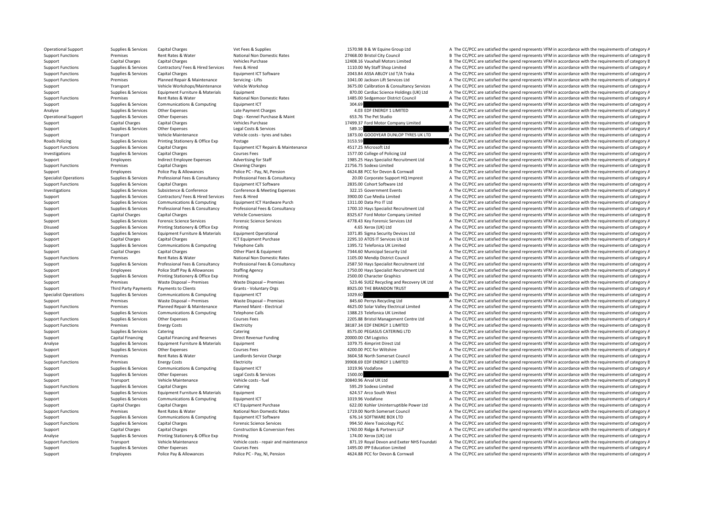Operational Support Supplies & Services Capital Charges Vet Fees & Supplies Vet Fees & Supplies 1570.98 B & W Equine Group Ltd A The CC/PCC are satisfied the spend represents VFM in accordance with the requirements of cate Support Functions Premises Premises Rent Rates & Water National Non Domestic Rates 27468.00 Bristol City Council B The CC/PCC are satisfied the spend represents VFM in accordance with the requirements of category B The COL Support Capital Charges Capital Charges Capital Charges Vehicles Purchase Vehicles Purchase 12408.16 Vauxhall Motors Limited B The CC/PCC are satisfied the spend represents VFM in accordance with the requirements of catego Support Functions Supplies Fees & Services Feed a Hired Services A The CC/PCC are satisfied the spend represents VFM in accordance with the requirements of category A Support Functions Supplies & Services Capital Charges Equipment ICT Software Equipment ICT Software 2043.84 ASSA ABLOY Ltd T/A Traka A The CC/PCC are satisfied the spend represents VFM in accordance with the requirements o Support Functions Premises Planned Repair & Maintenance Servicing - Lifts 1041.00 Jackson Lift Services Ltd A The CC/PCC are satisfied the spend represents VFM in accordance with the requirements of category A Support Transport Vehicle Workshops/Maintenance Vehicle Workshop 3675.00 Calibration & Consultancy Services A The CC/PCC are satisfied the spend represents VFM in accordance with the requirements of category A Support Support Supplies & Services Equipment Furniture & Materials Equipment Equipment Burnicular States and a The CC/PCC are satisfied the spend represents VFM in accordance with the requirements of category A The Cript Support Functions Premises Rent Rates & Water National Non Domestic Rates 1485.00 Sedgemoor District Council A The CC/PCC are satisfied the spend represents VFM in accordance with the requirements of category A Support Supplies & Services Communications & Computing Equipment ICT 304.69 A The CC/PCC are satisfied the spend represents VFM in accordance with the requirements of category A Analyse Supplies & Services Other Expenses Late Payment Charges Late Payment Charges A The CONCENT LIMITED A The CC/PCC are satisfied the spend represents VFM in accordance with the requirements of category A The Criterian Other Expenses Dogs - Kennel Purchase & Maint 653.76 The Pet Studio A The CC/PCC are satisfied the spend represents VFM in accordance with the requirements of category A Support Capital Charges Capital Charges Vehicles Purchase Vehicles Purchase 17499.37 Ford Motor Company Limited B The CC/PCC are satisfied the spend represents VFM in accordance with the requirements of category B Support Support Support Support Support Support Support Support Support Support Support Support Support Support Support Support Support Support Support Support Support Support Support Support Support Support Support Support Suppor Support Transport Vehicle Maintenance Vehicle costs - tyres and tubes 1873.00 GOODYEAR DUNLOP TYRES UK LTD A The CC/PCC are satisfied the spend represents VFM in accordance with the requirements of category A Roads Policing Supplies A Services Printing Stationery & Office Exp Postage Printing Stationery A The CC/PCC are satisfied the spend represents VFM in accordance with the requirements of category A Supplies & Services Capi A The CC/PCC are satisfied the spend represents VFM in accordance with the requirements of category A Investigations Supplies & Services Capital Charges Courses Fees Courses Fees 1577.00 College of Policing Ltd A The CC/PCC are satisfied the spend represents VFM in accordance with the requirements of category A Support Employees Indirect Employee Expenses Advertising for Staff 1985.25 Hays Specialist Recruitment Ltd A The CC/PCC are satisfied the spend represents VFM in accordance with the requirements of category A Support Functions Premises Capital Charges Capital Charges Cleaning Charges Cleaning Charges 21756.75 Sodexo Limited B The CC/PCC are satisfied the spend represents VFM in accordance with the requirements of category B Support Employees Police Pay & Allowances Police PC - Pay, NI, Pension 4624.88 PCC for Devon & Cornwall A The CC/PCC are satisfied the spend represents VFM in accordance with the requirements of category A The Corner and t A The CC/PCC are satisfied the spend represents VFM in accordance with the requirements of category A Support Functions Supplies & Services Capital Charges A Thanges Equipment ICT Software Ltd 2835.00 Cohort Software Ltd A The CC/PCC are satisfied the spend represents VFM in accordance with the requirements of category A Investigations Supplies & Services Subsistence & Conference Conference & Meeting Expenses 322.15 Government Events A The CC/PCC are satisfied the spend represents VFM in accordance with the requirements of category A Support Supplies & Services Contractors/ Fees & Hired Services Fees & Hired Services Fees & Hired 3900.00 Cue Media Limited A The CC/PCC are satisfied the spend represents VFM in accordance with the requirements of categor Support Supplies & Services Communications & Computing Equipment ICT Hardware Purch 1311.00 Data Pro IT Ltd A The CC/PCC are satisfied the spend represents VFM in accordance with the requirements of category A The Cript A Sunnort Sunnics & Senvices Professional Face & Consultancy Professional Fees & Consultancy 1700.10 Have Specialit Becruiting and the CC/PCC are satisfied the special canonic procedure with the requirements of category A Support Capital Charges Capital Charges Vehicle Conversions Vehicle Conversions 8325.67 Ford Motor Company Limited B The CC/PCC are satisfied the spend represents VFM in accordance with the requirements of category B Support Supplies & Services Forensic Science Services Forensic Science Services Forensic Science Services and The CC/PCC are satisfied the spend represents VFM in accordance with the requirements of category A Disused Supplies & Services Printing Stationery & Office Exp Printing 4.65 Xerox (UK) Ltd A The CC/PCC are satisfied the spend represents VFM in accordance with the requirements of category A Support Support Support Support Equipment Furniture & Materials Equipment Operational 1071.85 Sigma Security Devices Ltd A The CC/PCC are satisfied the spend represents VFM in accordance with the requirements of category A Support Capital Charges Capital Charges 2013 CT Equipment Purchase 2295.10 ATOS IT Services Uk Ltd A The CC/PCC are satisfied the spend represents VFM in accordance with the requirements of category A Support Supplies & Services Communications & Computing Telephone Calls Telephone Calls 1395.72 Telefonica UK Limited A The CC/PCC are satisfied the spend represents VFM in accordance with the requirements of category A The Support Capital Charges Capital Charges Other Plant & Equipment Other Plant A The CC/PCC are satisfied the spend represents VFM in accordance with the requirements of category A Support Functions Premises Rent Rates & Water National Non Domestic Rates 1105.00 Mendip District Council A The CC/PCC are satisfied the spend represents VFM in accordance with the requirements of category A Supplies & Services Professional Fees & Consultancy Professional Fees & Consultancy Professional Fees & Consultancy Professional Fees & Consultancy 2587.50 Havs Specialist Recruitment Ltd A The CC/PCC are satisfied the spe Support Employees Police Staff Pay & Allowances Staffing Agency 1750.00 Hays Specialist Recruitment Ltd A The CC/PCC are satisfied the spend represents VFM in accordance with the requirements of category A Support Supplies & Services Printing Stationery & Office Exp Printing Printing 2500.00 Character Graphics A The CC/PCC are satisfied the spend represents VFM in accordance with the requirements of category A Support Premises Waste Disposal – Premises Waste Disposal – Premises Waste Disposal – Premises State Disposal – Premises 523.46 SUEZ Recycling and Recovery UK Ltd A The CC/PCC are satisfied the spend represents VFM in acco Support Third Party Payments Payments to Clients Grants - Voluntary Orgs S925.00 THE BRANDON TRUST A The CC/PCC are satisfied the spend represents VFM in accordance with the requirements of category A Services Communicatio Specialist Operations Supplies & Services Computing Computing Faulthone Equipment ICT 1029.60 A The CC/PCC are satisfied the spend represents VFM in accordance with the requirements of category A Support Premises Waste Disposal – Premises Waste Disposal – Premises Waste Disposal – Premises 845.60 Perrys Recycling Ltd A The CC/PCC are satisfied the spend represents VFM in accordance with the requirements of category Support Functions Premises Planned Repair & Maintenance Planned Maint - Electrical 4625.00 Solar Valley Electrical Limited A The CC/PCC are satisfied the spend represents VFM in accordance with the requirements of category Support Supplies & Services Communications & Computing Telephone Calls 1388.23 Telefonica UK Limited A The CC/PCC are satisfied the spend represents VFM in accordance with the requirements of category A Support Functions Supplies & Services Other Expenses Courses Fees Courses Fees 2205.88 Bristol Management Centre Ltd A The CC/PCC are satisfied the spend represents VFM in accordance with the requirements of category A Support Functions Premises Energy Costs Electricity Electricity 38187.34 EDF ENERGY 1 LIMITED B The CC/PCC are satisfied the spend represents VFM in accordance with the requirements of category B Support Supplies & Services Catering Catering Catering Catering Catering Catering Catering Catering Catering Category A The CC/PCC are satisfied the spend represents VFM in accordance with the requirements of category A Support Capital Financing Capital Financing and Reserves Direct Revenue Funding 20000.00 CM Logistics B The CC/PCC are satisfied the spend represents VFM in accordance with the requirements of category B Analyse Supplies & Services Equipment Furniture & Materials Equipment Equipment and the Services Equipment 1079.75 4imprint Direct Ltd A The CC/PCC are satisfied the spend represents VFM in accordance with the requirements Support Supplies & Services Other Expenses Courses Fees Courses Fees 4200.00 PCC for Wiltshire A The CC/PCC are satisfied the spend represents VFM in accordance with the requirements of category A Support Premises Rent Rates & Water Landlords Service Charge 3604.58 North Somerset Council A The CC/PCC are satisfied the spend represents VFM in accordance with the requirements of category A Support Functions Premises Energy Costs Electricity Electricity and the Electricity and the Support Electricity and the CC/PCC are satisfied the spend represents VFM in accordance with the requirements of category B Indian Support Supplies & Services Communications & Computing Equipment ICT 1019.96 Vodafone 1019.96 Vodafone A The CC/PCC are satisfied the spend represents VFM in accordance with the requirements of category A Support Supplies & Services Other Expenses Legal Costs & Services Legal Costs & Services Legal Costs & Services 1500.00 A The CC/PCC are satisfied the spend represents VFM in accordance with the requirements of category A Support Transport Vehicle Maintenance Vehicle costs - fuel 30840.96 Arval UK Ltd B The CC/PCC are satisfied the spend represents VFM in accordance with the requirements of category B Support Functions Supplies & Services Capital Charges Catering Catering Catering Supplies and the CC/PCC are satisfied A The CC/PCC are satisfied the spend represents VFM in accordance with the requirements of category A Support Supplies & Services Equipment Furniture & Materials Equipment 624.67 Arco South West A The CC/PCC are satisfied the spend represents VFM in accordance with the requirements of category A Support Supplies & Services Communications & Computing Equipment ICT equipment ICT and the Support and the COMPOS Computing a The CC/PCC are satisfied the spend represents VFM in accordance with the requirements of categor Support Capital Charges Capital Charges Capital Charges ICT Equipment Purchase ICT Equipment Purchase 622.00 Kohler Uninterruptible Power Ltd A The CC/PCC are satisfied the spend represents VFM in accordance with the requi A The CC/PCC are satisfied the spend represents VFM in accordance with the requirements of category A Support Supplies & Services Communications & Computing Equipment ICT Software 676.14 SOFTWARE BOX LTD A The CC/PCC are satisfied the spend represents VFM in accordance with the requirements of category A Support Functions Supplies & Services Capital Charges Material Charges Forensic Science Services 994.50 Alere Toxicology PLC A The CC/PCC are satisfied the spend represents VFM in accordance with the requirements of catego Support Capital Charges Capital Charges Construction & Conversion Fees 1760.00 Ridge & Partners LLP A The CC/PCC are satisfied the spend represents VFM in accordance with the requirements of category A Analyse Supplies & Services Printing Stationery & Office Exp Printing Printing 174.00 Xerox (UK) Ltd A The CC/PCC are satisfied the spend represents VFM in accordance with the requirements of category A Support Functions Transport Vehicle Maintenance Vehicle Costs - repair and maintenance ST1.19 Royal Devon and Exeter NHS Foundati A The CC/PCC are satisfied the spend represents VFM in accordance with the requirements of c Support Supplies & Services Other Expenses Courses Fees Courses Fees 1495.00 IPP Education Limited A The CC/PCC are satisfied the spend represents VFM in accordance with the requirements of category A Support Employees Police Pay & Allowances Police PC - Pay, NI, Pension 4624.88 PCC for Devon & Cornwall A The CC/PCC are satisfied the spend represents VFM in accordance with the requirements of category A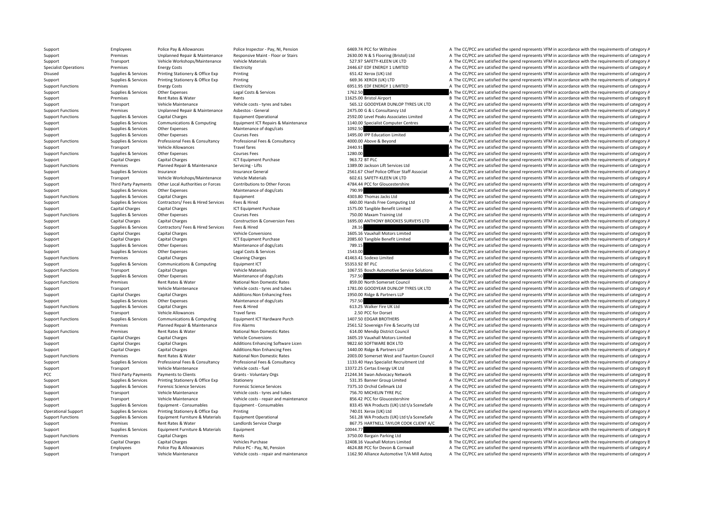Support Employees Police Pay & Allowances Police Inspector - Pay, NI, Pension 6469.74 PCC for Wiltshire A The CC/PCC are satisfied the spend represents VFM in accordance with the requirements of category A Support Premises Unplanned Repair & Maintenance Responsive Maint - Floor or Stairs 2630.00 N & S Flooring (Bristol) Ltd A The CC/PCC are satisfied the spend represents VFM in accordance with the requirements of category A Support Transport Vehicle Workshops/Maintenance Vehicle Materials 557.97 SAFETY‐KLEEN UK LTD A The CC/PCC are satisfied the spend represents VFM in accordance with the requirements of category A The Critical Section and De Energy Costs **Electricity** Electricity **Constructions Premises A The CC/PCC** are satisfied the spend represents VFM in accordance with the requirements of category A Disused Supplies & Services Printing Stationery & Office Exp Printing Printing and States A The CC/PCC are satisfied the spend represents VFM in accordance with the requirements of category A Supplies & Services Printing S Support Supplies & Services Printing Stationery & Office Exp Printing Printing and Stationery & Office Exp Printing 669.36 XEROX (UK) LTD A The CC/PCC are satisfied the spend represents VFM in accordance with the requireme Support Functions Premises Energy Costs Electricity Electricity Electricity Electricity Electricity and the COST.95 EDF ENERGY 1 LIMITED A The CC/PCC are satisfied the spend represents VFM in accordance with the requiremen Support Supplies & Services Other Expenses Legal Costs & Services Legal Costs & Services Legal Costs & Services 1762.50 A The CC/PCC are satisfied the spend represents VFM in accordance with the requirements of category A Support Premises Rent Rates & Water Rents Rents Rents Rents 11625.00 Bristol Airport B The CC/PCC are satisfied the spend represents VFM in accordance with the requirements of category B Support Transport Vehicle Maintenance Vehicle costs – tyres and tubes 565.12 GOODYEAR DUNLOP TYRES UK LTD A The CC/PCC are satisfied the spend represents VFM in accordance with the requirements of category A The CO/PC are Support Functions Premises Premises Unplanned Repair & Maintenance Asbestos - General 2475.00 G & L Consultancy Ltd A The CC/PCC are satisfied the spend represents VFM in accordance with the requirements of category A The Support Functions Supplies & Services Capital Charges Equipment Operational Equipment Operational 2592.00 Level Peaks Associates Limited A The CC/PCC are satisfied the spend represents VFM in accordance with the requiremen Supplies & Services Communications & Computing Equipment ICT Repairs & Maintenance 1140.00 Specialist Computer Centres And Pack C/PCC are satisfied the spend represents VFM in accordance with the requirements of category A Support Supplies & Services Other Expenses Maintenance of dogs/cats Maintenance of dogs/cats Maintenance of dogs/cats 1092.50 A The CC/PCC are satisfied the spend represents VFM in accordance with the requirements of categ Support Supplies & Services Other Expenses Courses Fees Courses Fees 1495.00 IPP Education Limited A The CC/PCC are satisfied the spend represents VFM in accordance with the requirements of category A Support Functions Supplies & Services Professional Fees & Consultancy Professional Fees & Consultancy Professional Fees & Consultancy and the consultancy and the CONCOLOGY CONSULTATION of the CONCOLOGY A The CC/PCC are sat Support Transport Vehicle Allowances Travel fares Travel fares 2440.91 A The CC/PCC are satisfied the spend represents VFM in accordance with the requirements of category A Support Functions Supplies & Services Other Expenses Courses Fees Courses Fees 1280.00 A The CC/PCC are satisfied the spend represents VFM in accordance with the requirements of category A Support Capital Charges Capital Charges Capital Charges ICT Equipment Purchase 963.72 BT PLC A The CC/PCC are satisfied the spend represents VFM in accordance with the requirements of category A Support Functions Premises Planned Repair & Maintenance Servicing - Lifts 1389.00 Jackson Lift Services Ltd A The CC/PCC are satisfied the spend represents VFM in accordance with the requirements of category A Support Supplies & Services Insurance Insurance Insurance General Insurance General 2561.67 Chief Police Officer Staff Associat A The CC/PCC are satisfied the spend represents VFM in accordance with the requirements of cat Support Transport Vehicle Workshops/Maintenance Vehicle Materials 602.61 SAFETY‐KLEEN UK LTD A The CC/PCC are satisfied the spend represents VFM in accordance with the requirements of category A Third Party Payments Other Local Authorities or Forces Contributions to Other Forces and the Consessershire A The CC/PCC are satisfied the spend represents VFM in accordance with the requirements of category A Support Supplies & Services Other Expenses Maintenance of dogs/cats 790.99 790.99 A The CC/PCC are satisfied the spend represents VFM in accordance with the requirements of category A Support Functions Supplies & Services Capital Charges Foundment Functions and A The CC/PCC are satisfied the spend represents VFM in accordance with the requirements of category A Support Support Support Support Support Support Support Support Support Support Services Contractors/ Fees & Hired Services Fees & Hired Feed Mired a The COND Hands Free Computing Ltd A The CC/PCC are satisfied the spend r Support Capital Charges Capital Charges 1575.00 Tangible Benefit Limited A The CC/PC are satisfied the spend represents VFM in accordance with the requirements of category A The CC/PC are satisfied the spend represents VFM Support Functions Supplies & Services Other Expenses Courses Fees Courses Fees 750.00 Maxam Training Ltd A The CC/PCC are satisfied the spend represents VFM in accordance with the requirements of category A Support Capital Charges Capital Charges Construction & Conversion Fees 1695.00 ANTHONY BROOKES SURVEYS LTD A The CC/PCC are satisfied the spend represents VFM in accordance with the requirements of category A Support Supplies Services Contractors/ Fees & Hired Services Fees & Hired 28.16 28.16 28.16 A The CC/PCC are satisfied the spend represents VFM in accordance with the requirements of category A Support Capital Charges Capital Charges Vehicle Conversions Vehicle Conversions 1605.16 Vauxhall Motors Limited B The CC/PCC are satisfied the spend represents VFM in accordance with the requirements of category B The Conv Support Capital Charges Capital Charges 2085 2085.60 Tangible Benefit Limited A The CC/PCC are satisfied the spend represents VFM in accordance with the requirements of category A Support Supplies & Services Other Expenses Maintenance of dogs/cats 789.15 789.15 A The CC/PCC are satisfied the spend represents VFM in accordance with the requirements of category A Support Supplies & Services Other Expenses Legal Costs & Services A The CC/PCC are satisfied the spend represents VFM in accordance with the requirements of category A Support Functions Premises Capital Charges Cleaning Charges 41463.41 Sodexo Limited B The CC/PCC are satisfied the spend represents VFM in accordance with the requirements of category B Support Support Supplies & Services Communications & Computing Equipment ICT Equipment ICT Services Computing Equipment ICT Support C The CC/PCC are satisfied the spend represents VFM in accordance with the requirements of Support Functions Transport Capital Charges Vehicle Materials Vehicle Materials 1067.55 Bosch Automotive Service Solutions A The CC/PCC are satisfied the spend represents VFM in accordance with the requirements of category Support Support Support Other Expenses Cupper Maintenance of dogs/cats 757.50 A The CC/PCC are satisfied the spend represents VFM in accordance with the requirements of category A Support Functions Premises Rent Rates & Water National Non Domestic Rates 859.00 North Somerset Council A The CC/PCC are satisfied the spend represents VFM in accordance with the requirements of category A The Criteria and Support Transport Vehicle Maintenance Vehicle costs ‐ tyres and tubes 1781.00 GOODYEAR DUNLOP TYRES UK LTD A The CC/PCC are satisfied the spend represents VFM in accordance with the requirements of category A Support Capital Charges Capital Charges Additions:Non Enhancing Fees 1950.00 Ridge & Partners LLP A The CC/PCC are satisfied the spend represents VFM in accordance with the requirements of category A Support Supplies & Services Other Expenses Maintenance of dogs/cats 757.50 757.50 A The CC/PCC are satisfied the spend represents VFM in accordance with the requirements of category A Support Functions Supplies & Services Capital Charges Fees & Hired Fees & Hired Fees & Hired 613.25 Walker Fire UK Ltd A The CC/PCC are satisfied the spend represents VFM in accordance with the requirements of category A Support Transport Vehicle Allowances Travel fares Travel fares 2.50 PCC for Dorset A The CC/PCC are satisfied the spend represents VFM in accordance with the requirements of category A Support Functions Supplies & Services Communications & Computing Equipment ICT Hardware Purch 1407.50 EDGAR BROTHERS A The CC/PCC are satisfied the spend represents VFM in accordance with the requirements of category A Support Premises Planned Repair & Maintenance Fire Alarms 2561.52 Sovereign Fire & Security Ltd A The CC/PCC are satisfied the spend represents VFM in accordance with the requirements of category A Support Functions Premises Rent Rates & Water National Non Domestic Rates 614.00 Mendip District Council A The CC/PCC are satisfied the spend represents VFM in accordance with the requirements of category A Support Capital Charges Capital Charges Vehicle Conversions Vehicle Conversions and the CONSTANT CONSTANT CONVERTIB<br>Support Capital Charges Capital Charges Additions Enhancing Software Licen 9822.60 SOFTWARE BOX LTD A The Support Capital Charges Capital Charges Capital Charges Additions Enhancing Software Licen 9822.60 SOFTWARE BOX LTD A The CC/PCC are satisfied the spend represents VFM in accordance with the requirements of category A The Support Capital Charges Capital Charges Additions:Non Enhancing Fees 1440.00 Ridge & Partners LLP A The CC/PCC are satisfied the spend represents VFM in accordance with the requirements of category A Support Functions Premises Rent Rates & Water National Non Domestic Rates 2003.00 Somerset West and Taunton Council A The CC/PCC are satisfied the spend represents VFM in accordance with the requirements of category A Supplies & Services Professional Fees & Consultancy Professional Fees & Consultancy Professional Fees & Consultancy Professional Fees & Consultancy Professional Fees & Consultancy Professional Fees & Consultancy 20133.40 H Support Transport Vehicle Maintenance Vehicle costs - fuel 13372.25 Certas Energy UK Ltd B The CC/PCC are satisfied the spend represents VFM in accordance with the requirements of category E PCC Third Party Payments Payments to Clients Grants - Voluntary Orgs 21244.34 Swan Advocacy Network B The CC/PCC are satisfied the spend represents VFM in accordance with the requirements of category E Support Supplies & Services Printing Stationery & Office Exp Stationery Stationery 531.35 Banner Group Limited A The CC/PCC are satisfied the spend represents VFM in accordance with the requirements of category A Support Supplies & Services Forensic Science Services Forensic Science Services Forensic Science Services Forensic Science Services A The CC/PCC are satisfied the spend represents VFM in accordance with the requirements of Support Transport Vehicle Maintenance Vehicle costs - tyres and tubes 756.70 MICHELIN TYRE PLC A The CC/PCC are satisfied the spend represents VFM in accordance with the requirements of category A Support Transport Vehicle Maintenance Vehicle costs ‐ repair and maintenance 856.42 PCC for Gloucestershire A The CC/PCC are satisfied the spend represents VFM in accordance with the requirements of category A Support Supplies & Services Equipment - Consumables Equipment - Consumables Equipment - Consumables Equipment - Consumables exteneSafe a The CC/PCC are satisfied the spend represents VFM in accordance with the requirements A The CC/PCC are satisfied the spend represents VFM in accordance with the requirements of category A Support Functions Supplies & Services Equipment Furniture & Materials Equipment Operational Equipment Operational 561.28 WA Products (UK) Ltd t/a SceneSafe A The CC/PCC are satisfied the spend represents VFM in accordance Support Premises Rent Rates & Water Landlords Service Charge Landlords Service Charge 867.75 HARTNELL TAYLOR COOK CLIENT A/C A The CC/PCC are satisfied the spend represents VFM in accordance with the requirements of catego Support Supplies & Services Equipment Furniture & Materials Equipment 10044.77 10044.77 B The CC/PCC are satisfied the spend represents VFM in accordance with the requirements of category B Support Functions Premises Capital Charges Rents Rents Rents 3750.00 Bargain Parking Ltd A The CC/PCC are satisfied the spend represents VFM in accordance with the requirements of category A Support Capital Charges Capital Charges Vehicles Purchase Vehicles Purchase 12408.16 Vauxhall Motors Limited B The CC/PCC are satisfied the spend represents VFM in accordance with the requirements of category B Support Employees Police Pay & Allowances Police PC - Pay, NI, Pension 4624.88 PCC for Devon & Cornwall A The CC/PCC are satisfied the spend represents VFM in accordance with the requirements of category A Support Transport Vehicle Maintenance Vehicle costs - repair and maintenance 1162.90 Alliance Automotive T/A Mill Autoq A The CC/PCC are satisfied the spend represents VFM in accordance with the requirements of category A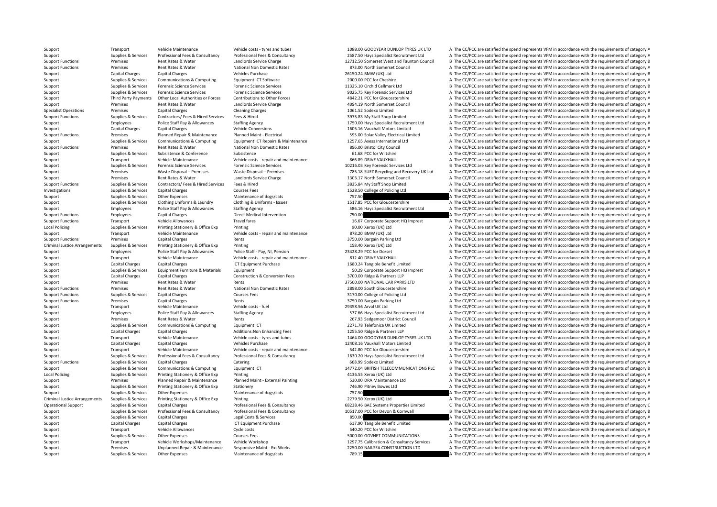Support Transport Vehicle Maintenance Vehicle costs – tyres and tubes 1088.00 GOODYEAR DUNLOP TYRES UK LTD A The CC/PCC are satisfied the spend represents VFM in accordance with the requirements of category A Supplies & Services Professional Fees & Consultancy Professional Fees & Consultancy Professional Fees & Consultancy Professional Fees & Consultancy Professional Fees & Consultancy Professional Fees & Consultancy 2587.50 Ha Support Functions Premises Rent Rates & Water Landlords Service Charge 12712.50 Somerset West and Taunton Council B The CC/PCC are satisfied the spend represents VFM in accordance with the requirements of category B Nation A The CC/PCC are satisfied the spend represents VFM in accordance with the requirements of category A Support Capital Charges Capital Charges Vehicles Purchase Vehicles Purchase 26150.24 BMW (UK) Ltd B The CC/PCC are satisfied the spend represents VFM in accordance with the requirements of category B Support Supplies & Services Communications & Computing Equipment ICT Software Equipment ICT Software 2000.00 PCC for Cheshire A The CC/PCC are satisfied the spend represents VFM in accordance with the requirements of categ Support Supplies & Services Forensic Science Services Forensic Science Services Forensic Science Services Forensic Science Services and Supplies & Services of category B The CC/PCC are satisfied the spend represents VFM in Support Supplies & Services Forensic Science Services Forensic Science Services Forensic Science Services Forensic Science Services external and the process of the CO/PCC are satisfied the spend represents VFM in accordanc Third Party Payments Other Local Authorities or Forces Contributions to Other Forces A842.21 PCC for Gloucestershire A The CC/PCC are satisfied the spend represents VFM in accordance with the requirements of category A Support Premises Rent Rates & Water Landlords Service Charge 4094.19 North Somerset Council A The CC/PCC are satisfied the spend represents VFM in accordance with the requirements of category A Specialist Operations Premises Capital Charges Capital Charges Cleaning Charges Cleaning Charges Cleaning Charges 1061.52 Sodexo Limited B The CC/PCC are satisfied the spend represents VFM in accordance with the requiremen Support Functions Supplies & Services Contractors/ Fees & Hired Services Fees & Hired Services Fees & Hired 3975.83 My Staff Shop Limited A The CC/PCC are satisfied the spend represents VFM in accordance with the requireme Support Employees Police Staff Pay & Allowances Staffing Agency Support and the Specialist Recruitment Ltd A The CC/PCC are satisfied the spend represents VFM in accordance with the requirements of category A Support Capit Support Capital Charges Capital Charges Vehicle Conversions Vehicle Conversions 1605.16 Vauxhall Motors Limited B The CC/PCC are satisfied the spend represents VFM in accordance with the requirements of category B Support Functions Premises Planned Repair & Maintenance Planned Maint - Electrical Support A The CC/PCC are satisfied A The CC/PCC are satisfied the spend represents VFM in accordance with the requirements of category A Support Support Supplies & Services Communications & Computing Equipment ICT Repairs & Maintenance 1257.65 Axess International Ltd A The CC/PCC are satisfied the spend represents VFM in accordance with the requirements of A The CC/PCC are satisfied the spend represents VFM in accordance with the requirements of category A Support Supplies & Services Subsistence & Conference Subsistence Subsistence Subsistence Subsistence Subsistence a Subsistence A The CCC Wiltshire A The CC/PCC are satisfied the spend represents VFM in accordance with the Support Transport Vehicle Maintenance Vehicle costs - repair and maintenance 866.89 DRIVE VAUXHALL A The CC/PCC are satisfied the spend represents VFM in accordance with the requirements of category A Support Supplies & Services Forensic Science Services Forensic Science Services Forensic Science Services Forensic Science Services Ltd B The CC/PCC are satisfied the spend represents VFM in accordance with the requirement Support Premises Waste Disposal – Premises Waste Disposal – Premises Waste Disposal – Premises Waste Disposal – Premises 785.18 SUEZ Recycling and Recovery UK Ltd A The CC/PCC are satisfied the spend represents VFM in acco Support Premises Rent Rates & Water Landlords Service Charge 1303.17 North Somerset Council A The CC/PCC are satisfied the spend represents VFM in accordance with the requirements of category A Support Functions Supplies & Services Contractors/ Fees & Hired Services Fees & Hired 3835.84 My Staff Shop Limited A The CC/PCC are satisfied the spend represents VFM in accordance with the requirements of category A Investigations Supplies & Services Capital Charges Courses Fees Courses Fees 1528.50 College of Policing Ltd A The CC/PCC are satisfied the spend represents VFM in accordance with the requirements of category A Support Supplies & Services Other Expenses Maintenance of dogs/cats 757.50 757.50 A The CC/PCC are satisfied the spend represents VFM in accordance with the requirements of category A Support Supplies & Services Clothing Uniforms & Laundry Clothing & Uniforms - Issues 1517.85 PCC for Gloucestershire A The CC/PCC are satisfied the spend represents VFM in accordance with the requirements of category A The Support Employees Police Staff Pay & Allowances Staffing Agency States Specialist Recruitment Ltd A The CC/PCC are satisfied the spend represents VFM in accordance with the requirements of category A Support Functions Employees Capital Charges Direct Medical Intervention 750.00 750.00 A The CC/PCC are satisfied the spend represents VFM in accordance with the requirements of category A Support Functions Transport Vehicle Allowances Travel fares Travel fares 16.67 Corporate Support HQ Imprest A The CC/PCC are satisfied the spend represents VFM in accordance with the requirements of category A Local Policing Supplies & Services Printing Stationery & Office Exp Printing Stationery & Office Exp Printing 90.00 Xerox (UK) Ltd A The CC/PCC are satisfied the spend represents VFM in accordance with the requirements of Support Transport Vehicle Maintenance Vehicle costs - repair and maintenance 878.20 BMW (UK) Ltd A The CC/PCC are satisfied the spend represents VFM in accordance with the requirements of category A Support Functions Premises Capital Charges Rents Rents Rents and the Support A The CC/PCC are satisfied the spend represents VFM in accordance with the requirements of category A Criminal Justice Arrangements Supplies & Services Printing Printing Printing Printing Printing 158.40 Xerox (UK) Ltd A The CC/PCC are satisfied the spend represents VFM in accordance with the requirements of category A Support Employees Police Staff Pay & Allowances Police Staff - Pay, NI, Pension 23428.29 PCC for Dorset B The CC/PCC are satisfied the spend represents VFM in accordance with the requirements of category B Support Transport Vehicle Maintenance Vehicle costs - repair and maintenance 812.40 DRIVE VAUXHALL A The CC/PCC are satisfied the spend represents VFM in accordance with the requirements of category A Support Capital Charges Capital Charges Capital Charges ICT Equipment Purchase 1680.24 Tangible Benefit Limited A The CC/PCC are satisfied the spend represents VFM in accordance with the requirements of category A Support Supplies & Services Equipment Furniture & Materials Equipment Support Furniture & Materials Equipment Support HQ Imprest A The CC/PCC are satisfied the spend represents VFM in accordance with the requirements of ca Support Capital Charges Capital Charges Construction & Construction & Conversion Fees 370.00 Ridge & Partners LLP A The CC/PCC are satisfied the spend represents VFM in accordance with the requirements of category A The CC Support Premises Rent Rates & Water Rents Rents Rents and Deprocess Rent Rates Rent Rates Rent Rents Rents and the CONTONAL CAR PARKS LTD B The CC/PCC are satisfied the spend represents VFM in accordance with the requireme Support Functions Premises Rent Rates & Water National Non Domestic Rates 2898.00 South Gloucestershire A The CC/PCC are satisfied the spend represents VFM in accordance with the requirements of category A Support Functions Support Capital Charges Support Capital Charges Courses Fees 3170.00 College of Policing Ltd A The CC/PCC are satisfied the spend represents VFM in accordance with the requirements of category A Support Functions Premises Capital Charges Rents Rents Rents and the CC/PCC are satisfied A The CC/PCC are satisfied the spend represents VFM in accordance with the requirements of category A Support Transport Vehicle Maintenance Vehicle costs - fuel vehicle costs - fuel 29358.56 Arval UK Ltd B The CC/PCC are satisfied the spend represents VFM in accordance with the requirements of category B Support Support Em Support Employees Police Staff Pay & Allowances Staffing Agency Staff Pay and the CT7.66 Hays Specialist Recruitment Ltd A The CC/PCC are satisfied the spend represents VFM in accordance with the requirements of category A Support Premises Rent Rates & Water Rents Rents Rents Rents 267.93 Sedgemoor District Council A The CC/PCC are satisfied the spend represents VFM in accordance with the requirements of category A Support Support Support Support Services Communications & Computing Equipment ICT 2271.78 Telefonica UK Limited A The CC/PCC are satisfied the spend represents VFM in accordance with the requirements of category A Support Capital Charges Capital Charges Additions:Non Enhancing Fees 1255.50 Ridge & Partners LLP A The CC/PCC are satisfied the spend represents VFM in accordance with the requirements of category A Support Transport Vehicle Maintenance Vehicle Costs – tyres and tubes 1464.00 GOODYEAR DUNLOP TYRES UK LTD A The CC/PCC are satisfied the spend represents VFM in accordance with the requirements of category A Vehicles Purc Support Capital Charges Capital Charges Capital Charges Vehicles Purchase Vehicles Purchase 12408.16 Vauxhall Motors Limited B The CC/PCC are satisfied the spend represents VFM in accordance with the requirements of catego Support Transport Vehicle Maintenance Vehicle costs - repair and maintenance 542.80 PCC for Gloucestershire A The CC/PCC are satisfied the spend represents VFM in accordance with the requirements of category A Supplies & Services Professional Fees & Consultancy Professional Fees & Consultancy Professional Fees & Consultancy Professional Fees & Consultancy Professional Fees & Consultancy Professional Fees & Consultancy 2001 and t Support Functions Supplies & Services Capital Charges Catering Catering Catering Catering Catering 668.99 Sodexo Limited A The CC/PCC are satisfied the spend represents VFM in accordance with the requirements of category A Support Supplies & Services Communications & Computing Equipment ICT 14772.04 BRITISH TELECOMMUNICATIONS PLC B The CC/PCC are satisfied the spend represents VFM in accordance with the requirements of category B Local Policing Supplies & Services Printing Stationery & Office Exp Printing Printing Printing 4136.55 Xerox (UK) Ltd A The CC/PCC are satisfied the spend represents VFM in accordance with the requirements of category A Th Support Premises Planned Repair & Maintenance Planned Maint - External Painting 530.00 DRA Maintenance Ltd A The CC/PCC are satisfied the spend represents VFM in accordance with the requirements of category A Support Supplies & Services Printing Stationery & Office Exp Stationery 300 Stationery 746.90 Pitney Bowes Ltd A The CC/PCC are satisfied the spend represents VFM in accordance with the requirements of category A Support Supplies & Services Other Expenses Maintenance of dogs/cats Maintenance of dogs/cats 757.50 A The CC/PCC are satisfied the spend represents VFM in accordance with the requirements of category A Criminal Justice Arrangements Supplies & Services Printing Stationery & Office Exp Printing Printing Printing 2279.50 Xerox (UK) Ltd A The CC/PCC are satisfied the spend represents VFM in accordance with the requirements o Operational Support Supplies & Services Capital Charges Mate of Professional Fees & Consultancy Professional Fees & Consultancy Professional Fees & Consultancy Professional Fees & Consultancy Professional Fees & Consultanc Supplies & Services Professional Fees & Consultancy Professional Fees & Consultancy Professional Fees & Consultancy Professional Fees & Consultancy Professional Fees & Consultancy Professional Fees & Consultancy 10517.00 P Support Supplies & Services Capital Charges Legal Costs & Services A The CC/PCC are satisfied the spend represents VFM in accordance with the requirements of category A Support Capital Charges Capital Charges Capital Charges Music Charges ICT Equipment Purchase Comment Purchase 617.90 Tangible Benefit Limited A The CC/PCC are satisfied the spend represents VFM in accordance with the requi Support Transport Vehicle Allowances Cycle costs Cycle costs 540.20 PCC for Wiltshire A The CC/PCC are satisfied the spend represents VFM in accordance with the requirements of category A Support Supplies & Services Other Expenses Courses Fees Courses Fees Support Courses Fees 5000.00 GOVNET COMMUNICATIONS A The CC/PCC are satisfied the spend represents VFM in accordance with the requirements of category A Support Transport Vehicle Workshops/Maintenance Vehicle Workshop 1297.75 Calibration & Consultancy Services A The CC/PCC are satisfied the spend represents VFM in accordance with the requirements of category A Support Premises Unplanned Repair & Maintenance Responsive Maint - Ext Works 2250.00 NAILSEA CONSTRUCTION LTD A The CC/PCC are satisfied the spend represents VFM in accordance with the requirements of category A Support Supplies & Services Other Expenses Maintenance of dogs/cats 789.15 789.15 A The CC/PCC are satisfied the spend represents VFM in accordance with the requirements of category A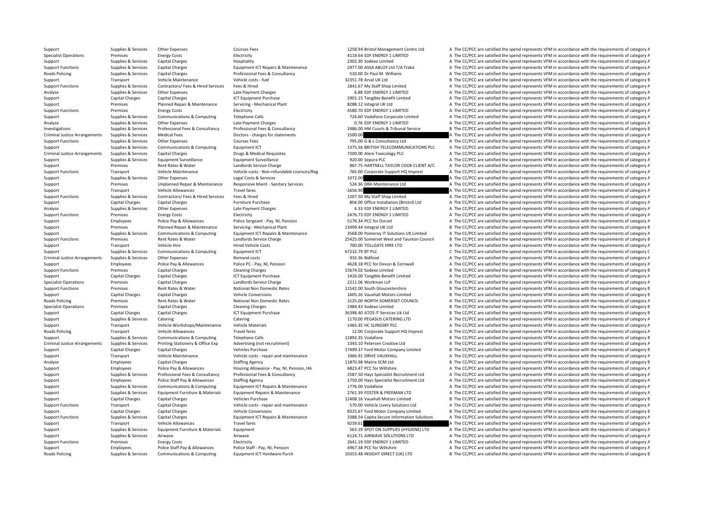Roads Policing Supplies & Services Communications & Computing Equipment ICT Hardware Purch 10353.48 INSIGHT DIRECT (UK) LTD B The CC/PCC are satisfied the spend represents VFM in accordance with the requirements of categor

Support Supplies & Services Other Expenses Courses Fees Courses Fees 1258.94 Bristol Management Centre Ltd A The CC/PCC are satisfied the spend represents VFM in accordance with the requirements of category A Specialist Operations Premises Energy Costs Electricity Electricity Electricity Electricity Electricity and the CONNOTED A The CC/PCC are satisfied the spend represents VFM in accordance with the requirements of category A Support Support Supplies & Services Capital Charges Mainterial Hospitality Hospitality Hospitality and the CONSCO Limited A The CC/PCC are satisfied the spend represents VFM in accordance with the requirements of category Support Functions Supplies A The CC/PCC are satisfied the spend represents VFM in accordance with the requirements of category A Roads Policing Supplies & Services Capital Charges Professional Fees & Consultancy 510.00 Dr Paul M. Williams A The CC/PCC are satisfied the spend represents VFM in accordance with the requirements of category A Support Transport Vehicle Maintenance Vehicle costs – fuel 32351.78 Arval UK Ltd B The CC/PCC are satisfied the spend represents VFM in accordance with the requirements of category B Support Functions Supplies & Services Contractors/ Fees & Hired Services Fees & Hired 1841.67 My Staff Shop Limited A The CC/PCC are satisfied the spend represents VFM in accordance with the requirements of category A Analyse Supplies & Services Other Expenses Late Payment Charges Late Payment Charges Late Payment Charges Charges Charges Charges Late Payment Charges Capital Charges Late Payment Purchase CT Equipment Purchase 2001.15 Tan Support Capital Charges Capital Charges 2012 1CT Equipment Purchase 2901.15 Tangible Benefit Limited A The CC/PCC are satisfied the spend represents VFM in accordance with the requirements of category A Support Premises Planned Repair & Maintenance Servicing - Mechanical Plant 8288.12 Integral UK Ltd A The CC/PCC are satisfied the spend represents VFM in accordance with the requirements of category A The CO/PCC are satisf Support Functions Premises Energy Costs Electricity Electricity Electricity Electricity Electricity Electricity and the CONSULTED A The CC/PCC are satisfied the spend represents VFM in accordance with the requirements of c Support Supplies & Services Communications & Computing Telephone Calls 724.60 Vodafone Corporate Limited A The CC/PCC are satisfied the spend represents VFM in accordance with the requirements of category A Analyse Supplies & Services Other Expenses Late Payment Charges Late Payment Charges Late Payment Charges 2001<br>
Analyse A The CC/PCC are satisfied the spend represents VFM in accordance with the requirements of category A<br> B The CC/PCC are satisfied the spend represents VFM in accordance with the requirements of category B Criminal Justice Arrangements Supplies & Services Medical Fees Doctors - charges for statements Doctors - charges for statements 1500.00 A The CC/PCC are satisfied the spend represents VFM in accordance with the requiremen Support Functions Supplies & Services Other Expenses Courses Courses Fees Courses Fees The COURS TELECOMMUNICATIONS PLC A The CC/PCC are satisfied the spend represents VFM in accordance with the requirements of category A Support Supplies & Services Communications & Computing Equipment ICT 1375.56 BRITISH TELECOMMUNICATIONS PLC A The CC/PCC are satisfied the spend represents VFM in accordance with the requirements of category A Criminal Justice Arrangements Supplies & Services Capital Charges Drugs & Medical Requisites Drugs & Medical Requisites 7200.00 Alere Toxicology PLC A The CC/PCC are satisfied the spend represents VFM in accordance with th Support Supplies & Services Equipment Surveillance Equipment Surveillance Equipment Surveillance Equipment Surveillance example and the CC/PCC are satisfied the spend represents VFM in accordance with the requirements of c Support Premises Rent Rates & Water Landlords Service Charge 867.75 HARTNELL TAYLOR COOK CLIENT A/C A The CC/PCC are satisfied the spend represents VFM in accordance with the requirements of category A Support Functions Transport Transport Wehicle Maintenance Wehicle costs - Non-refundable Licences/Reg 765.00 Corporate Support HQ Imprest A The CC/PCC are satisfied the spend represents VFM in accordance with the requireme Support Supplies & Services Other Expenses Legal Costs & Services 1072.00 A The CC/PCC are satisfied the spend represents VFM in accordance with the requirements of category A Support Premises Unplanned Repair & Maintenance Responsive Maint - Sanitary Services 524.36 DRA Maintenance Ltd A The CC/PCC are satisfied the spend represents VFM in accordance with the requirements of category A Support Transport Vehicle Allowances Travel fares Travel fares and the CCSS.90 A The CC/PCC are satisfied the spend represents VFM in accordance with the requirements of category A Support Functions Supplies & Services Contractors/ Fees & Hired Services Fees & Hired 1207.50 My Staff Shop Limited A The CC/PCC are satisfied the spend represents VFM in accordance with the requirements of category A Support Capital Charges Capital Charges Furniture Purchase Furniture Purchase 804.00 Office Installation (Bristol) Ltd A The CC/PCC are satisfied the spend represents VFM in accordance with the requirements of category A T Analyse Supplies & Services Other Expenses Late Payment Charges Late Payment Charges A.33 EDF ENERGY 1 LIMITED A The CC/PCC are satisfied the spend represents VFM in accordance with the requirements of category A. Support Functions Premises Energy Costs Electricity Electricity Electricity and the COSTS EDF ENERGY 1 LIMITED A The CC/PCC are satisfied the spend represents VFM in accordance with the requirements of category A Support Employees Police Pay & Allowances Police Sergeant - Pay, NI, Pension 5176.34 PCC for Dorset A The CC/PCC are satisfied the spend represents VFM in accordance with the requirements of category A Support Premises Planned Repair & Maintenance Servicing Mechanical Plant 13499.44 Integral UK Ltd B The CC/PCC are satisfied the spend represents VFM in accordance with the requirements of category B Support Supplies & Services Communications & Computing Equipment ICT Repairs & Maintenance 3568.00 Pomeroy IT Solutions UK Limited A The CC/PCC are satisfied the spend represents VFM in accordance with the requirements of Premises Rent Rates & Water 2014 and Landlords Service Charge 25425.00 Somerset West and Taunton Council B The CC/PCC are satisfied the spend represents VFM in accordance with the requirements of category B Support Transport Vehicle Hire Hired Vehicle Costs 700.00 TOLLGATE HIRE LTD A The CC/PCC are satisfied the spend represents VFM in accordance with the requirements of category A Support Supplies & Services Communications & Computing Equipment ICT 67232.79 BT PLC 67232.79 BT PLC 67282.79 BT PLC C The CC/PCC are satisfied the spend represents VFM in accordance with the requirements of category C Criminal Justice Arrangements Supplies & Services Other Expenses Remand costs 933.36 Bidfood A The CC/PCC are satisfied the spend represents VFM in accordance with the requirements of category A Support Employees Police Pay & Allowances Police PC - Pay, NI, Pension 4628.18 PCC for Devon & Cornwall A The CC/PCC are satisfied the spend represents VFM in accordance with the requirements of category A Support Functions Premises Capital Charges Capital Charges Cleaning Charges Cleaning Charges 15674.02 Sodexo Limited B The CC/PCC are satisfied the spend represents VFM in accordance with the requirements of category B Support Capital Charges Capital Charges Capital Charges ICT Equipment Purchase 1426.00 Tangible Benefit Limited A The CC/PCC are satisfied the spend represents VFM in accordance with the requirements of category A Specialist Operations Premises Capital Charges Landlords Service Charge 2211.06 Workman LLP A The CC/PCC are satisfied the spend represents VFM in accordance with the requirements of category A The critical Area in the req Support Functions Premises Rent Rates & Water National Non Domestic Rates 11542.00 South Gloucestershire B The CC/PCC are satisfied the spend represents VFM in accordance with the requirements of category B Support Capital Charges Capital Charges Vehicle Conversions Vehicle Conversions 1605.16 Vauxhall Motors Limited B The CC/PCC are satisfied the spend represents VFM in accordance with the requirements of category B Roads Policing Premises Rent Rates & Water National Non Domestic Rates 3125.00 NORTH SOMERSET COUNCIL A The CC/PCC are satisfied the spend represents VFM in accordance with the requirements of category A Specialist Operations Premises Capital Charges Cleaning Charges Cleaning Charges Cleaning Charges 1984.43 Sodexo Limited B The CC/PCC are satisfied the spend represents VFM in accordance with the requirements of category B Support Capital Charges Capital Charges Scapital Charges ICT Equipment Purchase 36398.40 ATOS IT Services Uk Ltd B The CC/PCC are satisfied the spend represents VFM in accordance with the requirements of category B Support Supplies & Services Catering Catering Catering Catering Catering Catering Catering Catering Catering Catering Catering Catering Catering Catering Category A The CC/PCC are satisfied the spend represents VFM in acco Support Transport Vehicle Workshops/Maintenance Vehicle Materials 1465.35 HC SLINGSBY PLC A The CC/PCC are satisfied the spend represents VFM in accordance with the requirements of category A Roads Policing Transport Vehicle Allowances Travel fares Travel fares 12.00 Corporate Support HQ Imprest A The CC/PCC are satisfied the spend represents VFM in accordance with the requirements of category A Support Supplies & Services Communications & Computing Telephone Calls Telephone Calls and the Services Telephone Calls 11892.35 Vodafone B The CC/PCC are satisfied the spend represents VFM in accordance with the requireme Criminal Justice Arrangements Supplies & Services Printing Stationery & Office Exp Advertising (not recruitment) 1343.10 Petersen Creative Ltd A The CC/PCC are satisfied the spend represents VFM in accordance with the requ Support Capital Charges Capital Charges Vehicles Purchase Vehicles Purchase 17499.37 Ford Motor Company Limited B The CC/PCC are satisfied the spend represents VFM in accordance with the requirements of category B Support Transport Vehicle Maintenance Vehicle costs - repair and maintenance 1966.91 DRIVE VAUXHALL A The CC/PCC are satisfied the spend represents VFM in accordance with the requirements of category A Analyse Employees Capital Charges Staffing Agency Staffing Agency 11870.98 Matrix SCM Ltd B The CC/PCC are satisfied the spend represents VFM in accordance with the requirements of category E Support Employees Police Pay & Allowances Housing Allowance - Pay, NI, Pension, HA 6823.47 PCC for Wiltshire A The CC/PCC are satisfied the spend represents VFM in accordance with the requirements of category A The Consult Support Supplies & Services Professional Fees & Consultancy Professional Fees & Consultancy Professional Fees & Consultancy Professional Fees & Consultancy 2587.50 Hays Specialist Recruitment Ltd A The CC/PCC are satisfied Support Employees Police Staff Pay & Allowances Staffing Agency 1750.00 Hays Specialist Recruitment Ltd A The CC/PCC are satisfied the spend represents VFM in accordance with the requirements of category A Support Supplies & Services Communications & Computing Equipment ICT Repairs & Maintenance 1776.00 Vodafone 1776.00 Vodafone A The CC/PCC are satisfied the spend represents VFM in accordance with the requirements of catego Support Supportes Equipment Furniture & Materials Equipment Repairs & Maintenance 2761.39 FOSTER & FREEMAN LTD A The CC/PCC are satisfied the spend represents VFM in accordance with the requirements of category A Support Capital Charges Capital Charges Vehicles Purchase Vehicles Purchase 12408.16 Vauxhall Motors Limited B The CC/PCC are satisfied the spend represents VFM in accordance with the requirements of category B Support Functions Transport Capital Charges Vehicle costs - repair and maintenance 570.00 Vehicle Livery Solutions Ltd A The CC/PCC are satisfied the spend represents VFM in accordance with the requirements of category A T Support Capital Charges Capital Charges Vehicle Conversions Vehicle Conversions 8325.67 Ford Motor Company Limited B The CC/PCC are satisfied the spend represents VFM in accordance with the requirements of category B Support Functions Supplies & Services Capital Charges Equipment ICT Repairs & Maintenance 3388.54 Capita Secure Information Solutions A The CC/PCC are satisfied the spend represents VFM in accordance with the requirements Support Transport Central Central Central Central Travel fares Travel fares Travel fares Travel fares and the company of the CC/PCC are satisfied the spend represents VFM in accordance with the requirements of category A T Support Supplies & Services Equipment Furniture & Materials Equipment Support Equipment 563.19 SPOT ON SUPPLIES (HYGIENE) LTD A The CC/PCC are satisfied the spend represents VFM in accordance with the requirements of categ Support Supplies & Services Airwave Airwave Airwave Airwave Airwave Airwave Airwave Airwave Airwave Airwave Airwave Airwave Airwave And the CC/PCC are satisfied the spend represents VFM in accordance with the requirements Support Functions Premises Energy Costs Electricity Electricity A The CCALLENTED A The CC/PCC are satisfied the spend represents VFM in accordance with the requirements of category A Support Employees Police Staff Pay & Allowances Police Staff - Pay, NI, Pension 4967.38 PCC for Wiltshire A The CC/PCC are satisfied the spend represents VFM in accordance with the requirements of category A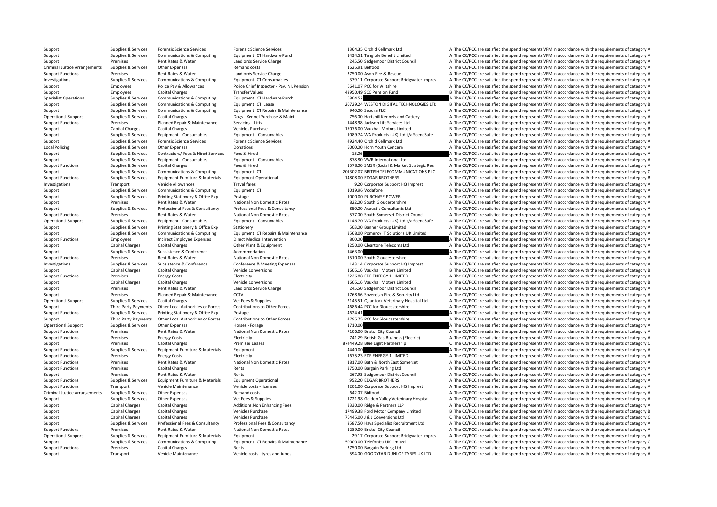Support Supplies & Services Forensic Science Services Forensic Science Services Forensic Science Services Forensic Science Services and the CC/PCC are satisfied the spend represents VFM in accordance with the requirements Support Supplies & Services Communications & Computing Equipment ICT Hardware Purch 1434.51 Tangible Benefit Limited A The CC/PCC are satisfied the spend represents VFM in accordance with the requirements of category A The Support Premises Rent Rates & Water Landlords Service Charge 245.50 Sedgemoor District Council A The CC/PCC are satisfied the spend represents VFM in accordance with the requirements of category A The Critical Justice Arra Criminal Justice Arrangements of category Arrangements of category A The CC/PCC are satisfied the spend represents VFM in accordance with the requirements of category A Support Functions Premises Rent Rates & Water Landlords Service Charge 3750.00 Avon Fire & Rescue A The CC/PCC are satisfied the spend represents VFM in accordance with the requirements of category A Supplies & Services Communications & Computing Equipment ICT Consumables 379.11 Corporate Support Bridgwater Impres A The CC/PCC are satisfied the spend represents VFM in accordance with the requirements of category A Support Employees Police Pay & Allowances Police Chief Inspector - Pay, NI, Pension 6641.07 PCC for Wiltshire A The CC/PCC are satisfied the spend represents VFM in accordance with the requirements of category A Support Employees Capital Charges Transfer Values Transfer Values 42950.49 SCC Pension Fund B The CC/PCC are satisfied the spend represents VFM in accordance with the requirements of category B The Criteria entity of the T Specialist Operations Supplies & Services Communications & Computing Equipment ICT Hardware Purch 6804.52 6804.52 A The CC/PCC are satisfied the spend represents VFM in accordance with the requirements of category A Support Supplies & Services Communications & Computing Equipment ICT Lease 20729.24 WESTON DIGITAL TECHNOLOGIES LTD B The CC/PCC are satisfied the spend represents VFM in accordance with the requirements of category B Support Supplies & Services Communications & Computing Equipment ICT Repairs & Maintenance 940.00 Sepura PLC A The CC/PCC are satisfied the spend represents VFM in accordance with the requirements of category A The COM in Operational Supplies & Services Capital Charges Dogs-Kennel Purchase & Maint 756.00 Hartshill Kennels and Cattery A The CC/PCC are satisfied the spend represents VFM in accordance with the requirements of category A Support Functions Premises Planned Repair & Maintenance Servicing - Lifts 1448.98 Jackson Lift Services Ltd A The CC/PCC are satisfied the spend represents VFM in accordance with the requirements of category A The Services Support Capital Charges Capital Charges Vehicles Purchase Vehicles Purchase 17076.00 Vauxhall Motors Limited B The CC/PCC are satisfied the spend represents VFM in accordance with the requirements of category B Support Supplies & Services Equipment - Consumables Equipment - Consumables Equipment - Consumables Equipment - Consumables A The CC/PCC are satisfied the spend represents VFM in accordance with the requirements of categor Support Supplies & Services Forensic Science Services Forensic Science Services Forensic Science Services and Supplies and Services Forensic Science Services and Supplies and Supplies & Services Other Expenses Donations Do A The CC/PCC are satisfied the spend represents VFM in accordance with the requirements of category A Support Supplies & Services Contractors/ Fees & Hired Services Fees & Hired 15.06 A The CC/PCC are satisfied the spend represents VFM in accordance with the requirements of category A Support Supplies & Services Equipment - Consumables Equipment - Consumables Equipment - Consumables Bupper and A The CC/PCC are satisfied the spend represents VFM in accordance with the requirements of category A Support Functions Supplies & Services Capital Charges Fees & Hired Fees & Hired 1578.00 SMSR (Social & Market Strategic Res A The CC/PCC are satisfied the spend represents VFM in accordance with the requirements of categor Support Supplies & Services Communications & Computing Equipment ICT 201302.07 BRITISH TELECOMMUNICATIONS PLC C The CC/PCC are satisfied the spend represents VFM in accordance with the requirements of category C<br>Supplies & B. The CC/PCC are satisfied the spend represents VFM in accordance with the requirements of category B. Investigations Transport Vehicle Allowances Travel fares Travel fares and the CO or and the CC/PCC are satisfied the spend represents VFM in accordance with the requirements of category A Support Supplies & Services Communications & Computing Equipment ICT 1019.96 Vodafone 1019.96 Vodafone A The CC/PCC are satisfied the spend represents VFM in accordance with the requirements of category A Support Supplies & Services Printing Stationery & Office Exp Postage 1000.00 PURCHASE POWER A The CC/PCC are satisfied the spend represents VFM in accordance with the requirements of category A Support Premises Rent Rates & Water National Non Domestic Rates 822.00 South Gloucestershire A The CC/PCC are satisfied the spend represents VFM in accordance with the requirements of category A The Criteria and a property Sunnort Sunnics & Services Professional Face & Consultancy Professional Fees & Consultancy State of cassical Face & Consultancy State of Consultancy SCO Of Acoustic Consultants of the CODC are satisfied the spend represent Support Functions Premises Rent Rates & Water National Non Domestic Rates 577.00 South Somerset District Council A The CC/PCC are satisfied the spend represents VFM in accordance with the requirements of category A Operational Support Supplies & Services Equipment - Consumables Caujpment - Consumables Equipment - Consumables Equipment - Consumables (Equipment - Consumables 1146.70 WA Products (UK) Ltd t/a SceneSafe A The CC/PCC are s Support Support Support Support Support Printing Stationery Stationery Stationery Stationery Stationery Stationery Stationery Stationery Stationery Stationery Stationery Stationery Stationery Stationery Stationery Statione Support Supplies & Services Communications & Computing Equipment ICT Repairs & Maintenance 3568.00 Pomeroy IT Solutions UK Limited A The CC/PCC are satisfied the spend represents VFM in accordance with the requirements of Employees and indirect Employee Expenses Direct Medical Intervention and the spend and a spend and a spend of category A The CC/PCC are satisfied the spend represents VFM in accordance with the requirements of category A Support Capital Charges Capital Charges Other Plant & Foulnment 1250.00 Cleartone Telecoms Ltd A The CC/PCC are satisfied the spend represents VFM in accordance with the requirements of category A Support Supplies & Services Subsistence & Conference Accommodation Accommodation 1463.00 A The CC/PCC are satisfied the spend represents VFM in accordance with the requirements of category A Support Functions Premises Rent Rates & Water National Non Domestic Rates 1510.00 South Gloucestershire A The CC/PCC are satisfied the spend represents VFM in accordance with the requirements of category A Investigations Supplies & Services Subsistence & Conference Conference & Meeting Expenses 143.14 Corporate Support HO Imprest A The CC/PCC are satisfied the spend represents VFM in accordance with the requirements of categ Support Capital Charges Capital Charges Vehicle Conversions Vehicle Conversions 1605.16 Vauxhall Motors Limited B The CC/PCC are satisfied the spend represents VFM in accordance with the requirements of category B Support Functions Premises Energy Costs Functions Electricity Functions and Electricity Electricity and the Support of COSTS and the CC/PCC are satisfied the spend represents VFM in accordance with the requirements of cate Support Capital Charges Capital Charges Capital Charges Vehicle Conversions Vehicle Conversions 1605.16 Vauxhall Motors Limited B The CC/PCC are satisfied the spend represents VFM in accordance with the requirements of cat Support Rent Rates & Water Landlords Service Charge 245.50 Sedgemoor District Council A The CC/PCC are satisfied the spend represents VFM in accordance with the requirements of category A Support Premises Planned Repair & Maintenance CCTV 1768.66 Sovereign Fire & Security Ltd A The CC/PCC are satisfied the spend represents VFM in accordance with the requirements of category A Operational Support Supplies & Services Capital Charges Vet Fees & Supplies Vet Fees & Supplies 2145.51 Quantock Veterinary Hospital Ltd A The CC/PCC are satisfied the spend represents VFM in accordance with the requiremen Third Party Payments Other Local Authorities or Forces Contributions to Other Forces and the Contributions to Other Forces and the COMPC for Gloucestershire and The CC/PCC are satisfied the spend represents VFM in accordan Support Functions Supplies & Services Printing Stationery & Office Exp Postage Prostage Printing Stationery & Office Exp Postage 4624.41 A The CC/PCC are satisfied the spend represents VFM in accordance with the requiremen Third Party Payments Other Local Authorities or Forces Contributions to Other Forces and the COST CONCOMERCY ATHE CONCOUNTER A The CC/PCC are satisfied the spend represents VFM in accordance with the requirements of catego Operational Support Supplies & Services Other Expenses Horses Forage Horses Forage 1710.00 A The CC/PCC are satisfied the spend represents VFM in accordance with the requirements of category A Support Functions Premises Rent Rates & Water National Non Domestic Rates 7106.00 Bristol City Council A The CC/PCC are satisfied the spend represents VFM in accordance with the requirements of category A Support Functions Premises Energy Costs Electricity Electricity Function 201.29 British Gas Business (Electricity A The CC/PCC are satisfied the spend represents VFM in accordance with the requirements of category A Support Premises Capital Charges Premises Leases Premises Leases and the Stategory C The CC/PCC are satisfied the spend represents VFM in accordance with the requirements of category C Support Functions Supplies & Services  $\sim$  4440.00  $\sim$  A The CC/PCC are satisfied the spend represents VFM in accordance with the requirements of category A Support Functions Premises Energy Costs Electricity Electricity Electricity Electricity Electricity and the COST 23 EDF ENERGY 1 LIMITED A The CC/PCC are satisfied the spend represents VFM in accordance with the requiremen Support Functions Premises Rent Rates & Water National Non Domestic Rates 1817.00 Bath & North East Somerset A The CC/PCC are satisfied the spend represents VFM in accordance with the requirements of category A Support Functions Premises Capital Charges Rents Rents Rents and the Support A The CC/PCC are satisfied the spend represents VFM in accordance with the requirements of category A Support Premises Rent Rates & Water Rents Rents Rents Rents 267.93 Sedgemoor District Council A The CC/PCC are satisfied the spend represents VFM in accordance with the requirements of category A The Council Support Funder Support Functions Supplies & Services Equipment Furniture & Materials Equipment Operational 952.20 EDGAR BROTHERS A The CC/PCC are satisfied the spend represents VFM in accordance with the requirements of category A Support Functions Transport Vehicle Maintenance Vehicle costs - licences 2201.00 Corporate Support HQ Imprest A The CC/PCC are satisfied the spend represents VFM in accordance with the requirements of category A Criminal Justice Arrangements Supplies & Services Other Expenses Remand costs Remand costs Remand costs 642.07 Bidfood A The CC/PCC are satisfied the spend represents VFM in accordance with the requirements of category A Support Support Support Support Other Expenses Vet Fees & Supplies Vet Fees & Supplies 1721.98 Golden Valley Veterinary Hospital A The CC/PCC are satisfied the spend represents VFM in accordance with the requirements of ca Support Capital Charges Capital Charges Additions:Non Enhancing Fees 3330.00 Ridge & Partners LLP A The CC/PCC are satisfied the spend represents VFM in accordance with the requirements of category A Support Capital Charge Support Capital Charges Capital Charges Vehicles Purchase Vehicles Purchase 17499.38 Ford Motor Company Limited B The CC/PCC are satisfied the spend represents VFM in accordance with the requirements of category B Support Capital Charges Capital Charges Vehicles Purchase Vehicles Purchase 76445.00 J & J Conversions Ltd C The CC/PCC are satisfied the spend represents VFM in accordance with the requirements of category C Supplies & Services Professional Fees & Consultancy Professional Fees & Consultancy Professional Fees & Consultancy Professional Fees & Consultancy Professional Fees & Consultancy Professional Fees & Consultancy Profession A The CC/PCC are satisfied the spend represents VFM in accordance with the requirements of category A Operational Supples & Services Equipment Furniture & Materials Equipment Equipment Equipment Equipment Equipment Equipment A The CC/PCC are satisfied the spend represents VFM in accordance with the requirements of category Support Supplies & Services Communications & Computing Equipment ICT Repairs & Maintenance 150000.00 Telefonica UK Limited C The CC/PCC are satisfied the spend represents VFM in accordance with the requirements of category Support Functions Premises Capital Charges Rents Rents Rents and the Support A The CC/PCC are satisfied the spend represents VFM in accordance with the requirements of category A Support Transport Vehicle Maintenance Vehicle costs - tyres and tubes 594.00 GOODYEAR DUNLOP TYRES UK LTD A The CC/PCC are satisfied the spend represents VFM in accordance with the requirements of category A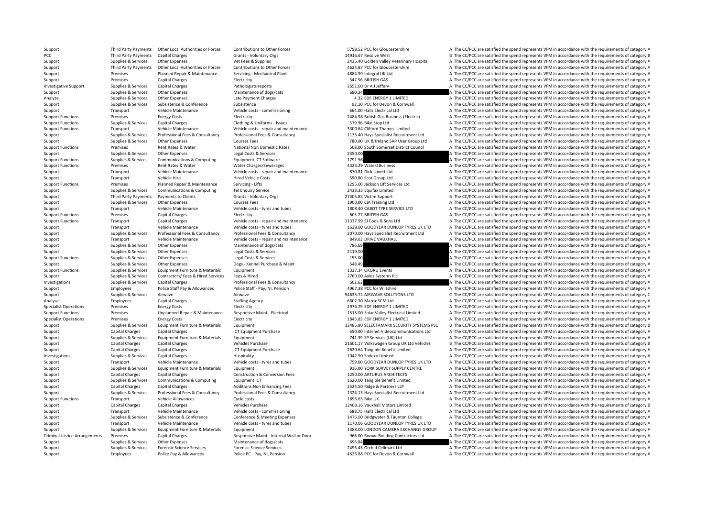Support Employees Police Pay & Allowances Police PC - Pay, NI, Pension 4626.88 PCC for Devon & Cornwall A The CC/PCC are satisfied the spend represents VFM in accordance with the requirements of category A

Third Party Payments Other Local Authorities or Forces Contributions to Other Forces S798.52 PCC for Gloucestershire A The CC/PCC are satisfied the spend represents VFM in accordance with the requirements of category A PCC Third Party Payments Capital Charges Grants - Voluntary Orgs 14916.67 Resolve West B The CC/PCC are satisfied the spend represents VFM in accordance with the requirements of category B Support Supplies & Services Other Expenses Vet Fees & Supplies Vet Fees & Supplies 2435.40 Golden Valley Veterinary Hospital A The CC/PCC are satisfied the spend represents VFM in accordance with the requirements of catego Third Party Payments Other Local Authorities or Forces Contributions to Other Forces 4624.87 PCC for Gloucestershire A The CC/PCC are satisfied the spend represents VFM in accordance with the requirements of category A Support Premises Planned Repair & Maintenance Servicing - Mechanical Plant 4884.99 Integral UK Ltd A The CC/PCC are satisfied the spend represents VFM in accordance with the requirements of category A Support Premises Capital Charges Electricity Electricity SAT.56 BRITISH GAS A The CC/PCC are satisfied the spend represents VFM in accordance with the requirements of category A Investigative Support Supplies & Services Capital Charges Pathologists reports Pathologists reports 2651.00 Dr A J Jeffery A The CC/PCC are satisfied the spend represents VFM in accordance with the requirements of category Support Supplies & Services Other Expenses Maintenance of dogs/cats 680.34 **680.34** A The CC/PCC are satisfied the spend represents VFM in accordance with the requirements of category A The CONTC are satisfied the spend re Analyse Supplies & Services Other Expenses Late Payment Charges Late Payment Charges A The CC/PCC are satisfied the spend represents VFM in accordance with the requirements of category A Support Supplies & Services Subsistence & Conference Subsistence Subsistence Subsistence Subsistence Subsistence Subsistence Subsistence Subsistence Subsistence Subsistence Subsistence Subsistence of category A The CC/PCC Support Transport Vehicle Maintenance Vehicle costs - commissioning 664.00 Halls Electrical Ltd A The CC/PCC are satisfied the spend represents VFM in accordance with the requirements of category A The Criterical Ltd A The Support Functions Premises Energy Costs Electricity Electricity Electricity 2484.98 British Gas Business (Electricity A The CC/PCC are satisfied the spend represents VFM in accordance with the requirements of category A Support Functions Supplies & Services Capital Charges Capital Charges Clothing & Uniforms ‐ Issues Clothing A Uniforms • Issues 579.96 Bike Stop Ltd A The CC/PCC are satisfied the spend represents VFM in accordance with th Support Functions Transport Transport Maintenance Costs and maintenance 3300.<br>A The CC/PCC are satisfied the spend represents VFM in accordance with the requirements of category A Supplies & Services Professional Fees & Consultancy Professional Fees & Consultancy Professional Fees & Consultancy Professional Fees & Consultancy 1133.40 Hays Specialist Recruitment Ltd A The CC/PCC are satisfied the spe Support Supplies & Services Other Expenses Courses Fees Courses Fees Courses Fees 780.00 UK & Ireland SAP User Group Ltd A The CC/PCC are satisfied the spend represents VFM in accordance with the requirements of category A A The CC/PCC are satisfied the spend represents VFM in accordance with the requirements of category A Support Supplies & Services Other Expenses Legal Costs & Services 2350.00 A The CC/PCC are satisfied the spend represents VFM in accordance with the requirements of category A Support Functions Supplies & Services Communications & Computing Equipment ICT Software 1791.56 1791.56 A The CC/PCC are satisfied the spend represents VFM in accordance with the requirements of category A Support Functions Premises Rent Rates & Water Water Water Charges/Sewerages 4323.29 Water2Business A The CC/PCC are satisfied the spend represents VFM in accordance with the requirements of category A Support Transport Vehicle Maintenance Vehicle costs - repair and maintenance and a STO.81 Dick Lovett Ltd A The CC/PCC are satisfied the spend represents VFM in accordance with the requirements of category A The Costs and Support Transport Vehicle Hire Hired Vehicle Costs 590.80 Scot Group Ltd A The CC/PCC are satisfied the spend represents VFM in accordance with the requirements of category A Support Functions Premises Planned Repair & Maintenance Servicing - Lifts 1295.00 Jackson Lift Services Ltd A The CC/PCC are satisfied the spend represents VFM in accordance with the requirements of category A Support Supplies & Services Communications & Computing Tel Enquiry Service 2433.33 Equifax Limited A The CC/PCC are satisfied the spend represents VFM in accordance with the requirements of category A Support Third Party Payments to Clients Category B Grants - Voluntary Orgs 27305.83 Victim Support B The CC/PCC are satisfied the spend represents VFM in accordance with the requirements of category B Support Supplies & Services Other Expenses Courses Fees Courses Fees Courses Fees 1900.00 CiA Training Ltd A The CC/PCC are satisfied the spend represents VFM in accordance with the requirements of category A The Courses I Support Transport Vehicle Maintenance Vehicle costs • tyres and tubes 1808.40 CABOT TYRE SERVICE LTD A The CC/PCC are satisfied the spend represents VFM in accordance with the requirements of category A Support Functions Premises Capital Charges Electricity Electricity 603.77 BRITISH GAS A The CC/PCC are satisfied the spend represents VFM in accordance with the requirements of category A Support Functions Transport Capital Charges Vehicle costs - repair and maintenance 11337.99 SJ Cook & Sons Ltd B The CC/PCC are satisfied the spend represents VFM in accordance with the requirements of category B Support Transport Vehicle Maintenance Vehicle costs - tyres and tubes 1638.00 GOODYEAR DUNLOP TYRES UK LTD A The CC/PCC are satisfied the spend represents VFM in accordance with the requirements of category A Support Supplies & Services Professional Fees & Consultancy Professional Fees & Consultancy Professional Fees & Consultancy Professional Fees & Consultancy Professional Fees & Consultancy 2070.00 Hays Specialist Recruitmen Support Transport Vehicle Maintenance Vehicle costs ‐ repair and maintenance 849.03 DRIVE VAUXHALL A The CC/PCC are satisfied the spend represents VFM in accordance with the requirements of category A Support Supplies & Services Other Expenses Maintenance of dogs/cats 786.69 786.69 A The CC/PCC are satisfied the spend represents VFM in accordance with the requirements of category A Support Supplies & Services Other Expenses Legal Costs & Services 2119.00 A The CC/PCC are satisfied the spend represents VFM in accordance with the requirements of category A Support Functions Supplies & Services Other Expenses Legal Costs & Services 155.00 A The CC/PCC are satisfied the spend represents VFM in accordance with the requirements of category A Support Supplies & Services Other Expenses Dogs - Kennel Purchase & Maint Supplies A The CC/PCC are satisfied the spend represents VFM in accordance with the requirements of category A Support Functions Supplies & Services Support Functions Supplies & Services Equipment Furniture & Materials Equipment 1337.34 OKORU Events A The CC/PCC are satisfied the spend represents VFM in accordance with the requirements of category A Support Supplies & Services Contractors/ Fees & Hired Services Fees & Hired Services Fees & Hired 2760.00 Axios Systems Plc A The CC/PCC are satisfied the spend represents VFM in accordance with the requirements of categor Investigations Supplies & Services Capital Charges Professional Fees & Consultancy 602.62 A The CC/PCC are satisfied the spend represents VFM in accordance with the requirements of category A The Consultance with the requi Support Employees Police Staff Pay & Allowances Police Staff - Pay, NI, Pension 4967.38 PCC for Wiltshire A The CC/PCC are satisfied the spend represents VFM in accordance with the requirements of category A Support Support Support Airwave Airwave Airwave Airwave Airwave Airwave 94635.72 AIRWAVE SOLUTIONS LTD C The CC/PCC are satisfied the spend represents VFM in accordance with the requirements of category C Analyse Employees Capital Charges Staffing Agency Staffing Agency 6602.30 Matrix SCM Ltd A The CC/PCC are satisfied the spend represents VFM in accordance with the requirements of category A Specialist Operations Premises Energy Costs Electricity Electricity Electricity and the COSTS EDF ENERGY 1 LIMITED A The CC/PCC are satisfied the spend represents VFM in accordance with the requirements of category A Support Functions Premises Dinplanned Repair & Maintenance Responsive Maint - Electrical Support 1515.00 Solar Valley Electrical Limited A The CC/PCC are satisfied the spend represents VFM in accordance with the requiremen Specialist Operations Premises Energy Costs Energy Costs Electricity Electricity Electricity Electricity Electricity and the COSTS EDENGY 1 LIMITED A The CC/PCC are satisfied the spend represents VFM in accordance with the Support Supplies & Services Equipment Furniture & Materials Equipment 13485.80 SELECTAMARK SECURITY SYSTEMS PLC B The CC/PCC are satisfied the spend represents VFM in accordance with the requirements of category B Support Capital Charges Capital Charges Capital Charges ICT Equipment Purchase ICT A The CODU Internet Videocommunications Ltd A The CC/PCC are satisfied the spend represents VFM in accordance with the requirements of cate Support Supplies & Services Equipment Furniture & Materials Equipment Furniture & Materials Equipment 741.39 Services (UK) Ltd A The CC/PCC are satisfied the spend represents VFM in accordance with the requirements of cate Support Capital Charges Capital Charges Vehicles Vehicles Purchase 21601.17 Volkswagen Group UK Ltd Vehicles B The CC/PCC are satisfied the spend represents VFM in accordance with the requirements of category B Support Cap Support Capital Charges Capital Charges Capital Charges ICT Equipment Purchase 2620.64 Tangible Benefit Limited A The CC/PCC are satisfied the spend represents VFM in accordance with the requirements of category A Investigations Supplies & Services Capital Charges Hospitality Hospitality Hospitality 1042.50 Sodexo Limited A The CC/PCC are satisfied the spend represents VFM in accordance with the requirements of category A Support Transport Vehicle Maintenance Vehicle costs - tyres and tubes 759.00 GOODYEAR DUNLOP TYRES UK LTD A The CC/PCC are satisfied the spend represents VFM in accordance with the requirements of category A Support Supplies & Services Equipment Furniture & Materials Equipment examples Equipment 916.00 YORK SURVEY SUPPLY CENTRE A The CC/PCC are satisfied the spend represents VFM in accordance with the requirements of category Support Capital Charges Capital Charges Construction & Conversion Fees 1250.00 ARTURUS ARCHITECTS A The CC/PCC are satisfied the spend represents VFM in accordance with the requirements of category A Support Supplies & Services Communications & Computing Equipment ICT example and the COLO Tangible Benefit Limited A The CC/PCC are satisfied the spend represents VFM in accordance with the requirements of category A Support Capital Charges Capital Charges Additions:Non Enhancing Fees 2524.50 Ridge & Partners LLP A The CC/PCC are satisfied the spend represents VFM in accordance with the requirements of category A Supplies & Services Professional Fees & Consultancy Professional Fees & Consultancy Professional Fees & Consultancy Professional Fees & Consultancy 2012-013 Hays Specialist Recruitment Ltd A The CC/PCC are satisfied the sp Support Functions Transport Vehicle Allowances Cycle costs Cycle costs 1896.65 Bike UK A The CC/PCC are satisfied the spend represents VFM in accordance with the requirements of category A Support Capital Charges Capital Charges Capital Charges Vehicles Purchase Vehicles Purchase 12408.16 Vauxhall Motors Limited B The CC/PCC are satisfied the spend represents VFM in accordance with the requirements of catego Support Transport Vehicle Maintenance Vehicle costs – commissioning 688.75 Halls Electrical Ltd A The CC/PCC are satisfied the spend represents VFM in accordance with the requirements of category A Support Supplies & Services Subsistence & Conference Conference & Meeting Expenses 1476.00 Bridgwater & Taunton College A The CC/PCC are satisfied the spend represents VFM in accordance with the requirements of category A Support Transport Vehicle Maintenance Vehicle costs – tyres and tubes 1170.06 GOODYEAR DUNLOP TYRES UK LTD A The CC/PCC are satisfied the spend represents VFM in accordance with the requirements of category A Support Suppl Support Supplies & Services Equipment Furniture & Materials Equipment 1388.00 LONDON CAMERA EXCHANGE GROUP A The CC/PCC are satisfied the spend represents VFM in accordance with the requirements of category A Criminal Justice Arrangements Premises Capital Charges Responsive Maint - Internal Wall or Door 966.00 Romac Building Contractors Ltd A The CC/PCC are satisfied the spend represents VFM in accordance with the requirements Support Supplies & Services Other Expenses Maintenance of dogs/cats 696.84 696.84 A The CC/PCC are satisfied the spend represents VFM in accordance with the requirements of category A Support Supplies & Services Forensic Science Services Forensic Science Services Forensic Science Services Procensic Science Services A The CC/PCC are satisfied the spend represents VFM in accordance with the requirements o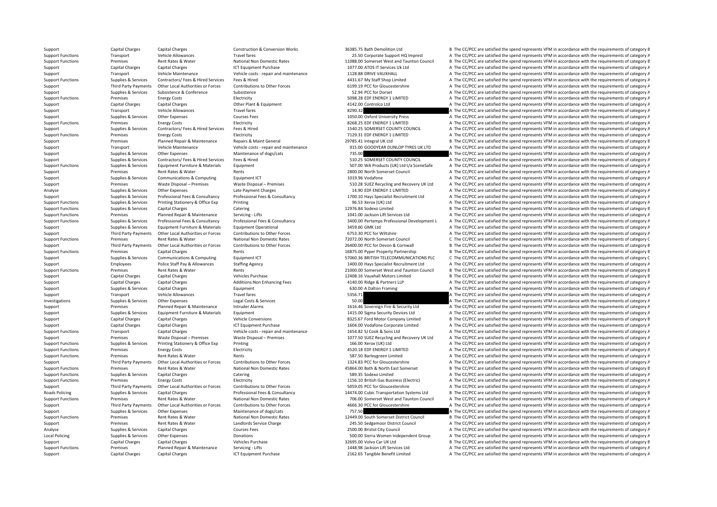Support Capital Charges Capital Charges 20216 1CT Equipment Purchase 2162.65 Tangible Benefit Limited A The CC/PCC are satisfied the spend represents VFM in accordance with the requirements of category A

Support Capital Charges Capital Charges Construction & Conversion Works 36385.75 Bath Demolition Ltd B The CC/PCC are satisfied the spend represents VFM in accordance with the requirements of category B Support Functions Transport Vehicle Allowances Travel fares Travel fares 25.50 Corporate Support HQ Imprest A The CC/PCC are satisfied the spend represents VFM in accordance with the requirements of category A Support Functions Premises Rent Rates & Water National Non Domestic Rates 11088.00 Somerset West and Taunton Council B The CC/PCC are satisfied the spend represents VFM in accordance with the requirements of category B Sup Support Capital Charges Capital Charges ICT Equipment Purchase 1077.00 ATOS IT Services Uk Ltd A The CC/PCC are satisfied the spend represents VFM in accordance with the requirements of category A Support Transport Vehicle Maintenance Vehicle costs - repair and maintenance 1128.88 DRIVE VAUXHALL A The CC/PCC are satisfied the spend represents VFM in accordance with the requirements of category A Support Functions Supplies & Services Contractors/ Fees & Hired Services Fees & Hired 4431.67 My Staff Shop Limited A The CC/PCC are satisfied the spend represents VFM in accordance with the requirements of category A Third Party Payments Other Local Authorities or Forces Contributions to Other Forces Subter Forces 6199.19 PCC for Gloucestershire A The CC/PCC are satisfied the spend represents VFM in accordance with the requirements of Support Support Support Subsistence Subsistence Subsistence Subsistence Subsistence Subsistence Subsistence Subsistence Subsistence Subsistence Subsistence Subsistence Subsistence Subsistence Subsistence Subsistence Subsis Support Functions Premises Energy Costs Electricity Electricity Electricity SO98.28 EDF ENERGY 1 LIMITED A The CC/PCC are satisfied the spend represents VFM in accordance with the requirements of category A Support Capital Charges Capital Charges Other Plant & Equipment 4142.00 Controlco Ltd A The CC/PCC are satisfied the spend represents VFM in accordance with the requirements of category A Support Transport Central Central Central Central Central Travel fares Travel fares and the Support A The CC/PCC are satisfied the spend represents VFM in accordance with the requirements of category A The COV in a stream Support Supplies & Services Other Expenses Courses Fees Courses Fees 1050.00 Oxford University Press A The CC/PCC are satisfied the spend represents VFM in accordance with the requirements of category A Support Functions Premises Energy Costs Energy Costs Electricity Electricity Electricity Electricity Electricity and the COSTS EDF ENERGY 1 LIMITED A The CC/PCC are satisfied the spend represents VFM in accordance with the Support Supplies & Services Contractors/ Fees & Hired Services Fees & Hired Services Fees & Hired 1540.25 SOMERSET COUNTY COUNCIL A The CC/PCC are satisfied the spend represents VFM in accordance with the requirements of c Support Functions Premises Energy Costs Electricity Electricity Functional A The CC/PCC are satisfied the spend represents VFM in accordance with the requirements of category A Support Premises Planned Repair & Maintenance Repairs & Maint General 29785.41 Integral UK Ltd B The CC/PCC are satisfied the spend represents VFM in accordance with the requirements of category B The Support Transport Veh A The CC/PCC are satisfied the spend represents VFM in accordance with the requirements of category A Support Supplies & Services Other Expenses Maintenance of dogs/cats 735.00 735.00 A The CC/PCC are satisfied the spend represents VFM in accordance with the requirements of category A Support Supplies & Services Contractors/ Fees & Hired Services Fees & Hired Services Fees & Hired 510.25 SOMERSET COUNTY COUNCIL A The CC/PCC are satisfied the spend represents VFM in accordance with the requirements of ca Support Functions Supplies & Services Equipment Furniture & Materials Equipment Support Equipment 507.00 WA Products (UK) Ltd t/a SceneSafe A The CC/PCC are satisfied the spend represents VFM in accordance with the require Support Premises Rent Rates & Water Rents Rents Rents Rents Rents 2800.00 North Somerset Council A The CC/PCC are satisfied the spend represents VFM in accordance with the requirements of category A The CO/PCC are satisfie Support Supplies & Services Communications & Computing Faultoment ICT 1019.96 Vodafone 1019.96 Vodafone A The CC/PCC are satisfied the spend represents VFM in accordance with the requirements of category A Support Premises Waste Disposal – Premises Waste Disposal – Premises Waste Disposal – Premises Subsosal – Premises Subsosal – Premises Subsosal – Premises Subsosal – Premises Subsosal – Premises Subsosal – Premises Subsosa Analyse Supplies & Services Other Expenses Late Payment Charges Late Payment Charges 14.90 EDF ENERGY 1 LIMITED A The CC/PCC are satisfied the spend represents VFM in accordance with the requirements of category A Supplies & Services Professional Fees & Consultancy Professional Fees & Consultancy Professional Fees & Consultancy Professional Fees & Consultancy 1700.10 Havs Specialist Recruitment Itd A The CC/PCC are satisfied the spe Support Functions Supplies & Services Printing Stationery & Office Exp Printing Printing 96.53 Xerox (UK) Ltd A The CC/PCC are satisfied the spend represents VFM in accordance with the requirements of category A The Cristo Support Functions Supplies & Services Capital Charges Catering Catering Catering 12976.84 Sodexon Limited B The CC/PCC are satisfied the spend represents VFM in accordance with the requirements of category B Support Functions Premises Planned Repair & Maintenance Servicing - Lifts 1041.00 Jackson Lift Services Ltd A The CC/PCC are satisfied the spend represents VFM in accordance with the requirements of category A Support Functions Supplies & Services Professional Fees & Consultancy Professional Fees & Consultancy Professional Fees & Consultancy Professional Fees & Consultancy Professional Fees & Consultancy Professional Fees & Cons Support Supplies & Services Equipment Furniture & Materials Equipment Operational 3459.60 GMK Ltd A The CC/PCC are satisfied the spend represents VFM in accordance with the requirements of category A Support Third Party Payments Other Local Authorities or Forces Contributions to Other Forces 6753.30 PCC for Wiltshire A The CC/PCC are satisfied the spend represents VFM in accordance with the requirements of category A T Support Functions Premises Rent Rates & Water National Non Domestic Rates 72072.00 North Somerset Council C The CC/PCC are satisfied the spend represents VFM in accordance with the requirements of category C Third Party Payments Other Iocal Authorities or Forces Contributions to Other Forces 26400.00 PCC for Devon & Cornwall B The CC/PCC are satisfied the spend represents VFM in accordance with the requirements of category F Support Functions Premises Capital Charges Rents Rents Rents Rents 16875.00 Pyper Property Partnership B The CC/PCC are satisfied the spend represents VFM in accordance with the requirements of category B Support Support Support Support Services Communications & Computing Foundance Computing Foundance of Computing C The CONSTRITISH TELECOMMUNICATIONS PLC C The CC/PCC are satisfied the spend represents VFM in accordance with Support Employees Police Staff Pay & Allowances Staffing Agency 1400.00 Hays Specialist Recruitment Ltd A The CC/PCC are satisfied the spend represents VFM in accordance with the requirements of category A Support Functions Premises Rent Rates & Water Rents Rents Rents Rents 21000.00 Somerset West and Taunton Council B The CC/PCC are satisfied the spend represents VFM in accordance with the requirements of category B Support Capital Charges Capital Charges Vehicles Purchase 12408.16 Vauxhall Motors Limited B The CC/PCC are satisfied the spend represents VFM in accordance with the requirements of category B Support Capital Charges Capital Charges Additions:Non Enhancing Fees 4140.00 Ridge & Partners LLP A The CC/PCC are satisfied the spend represents VFM in accordance with the requirements of category A The Criters Associates Support Supplies & Services Capital Charges Equipment Equipment 630.00 A Dalton Framing A The CC/PCC are satisfied the spend represents VFM in accordance with the requirements of category A Support Transport Vehicle Allowances Travel fares Travel fares 5356.71 A The CC/PCC are satisfied the spend represents VFM in accordance with the requirements of category A Investigations Supplies & Services Other Expenses Legal Costs & Services A The CC/PCC are satisfied the spend represents VFM in accordance with the requirements of category A Support Premises Planned Repair & Maintenance Intruder Alarms 1616.46 Sovereign Fire & Security Ltd A The CC/PCC are satisfied the spend represents VFM in accordance with the requirements of category A Support Supplies & Services Equipment Furniture & Materials Equipment 1415.00 Sigma Security Devices Ltd A The CC/PCC are satisfied the spend represents VFM in accordance with the requirements of category A Support Capital Charges Capital Charges Vehicle Conversions Vehicle Conversions 8325.67 Ford Motor Company Limited B The CC/PCC are satisfied the spend represents VFM in accordance with the requirements of category B Support Capital Charges Capital Charges 1604 ICT Equipment Purchase 1604.00 Vodafone Corporate Limited A The CC/PCC are satisfied the spend represents VFM in accordance with the requirements of category A Support Functions Transport Capital Charges Vehicle costs - repair and maintenance 1654.82 SJ Cook & Sons Ltd A The CC/PCC are satisfied the spend represents VFM in accordance with the requirements of category A Support Premises Waste Disposal – Premises Waste Disposal – Premises Waste Disposal – Premises Waste Disposal – Premises 107.50 SUEZ Recycling and Recovery UK Ltd A The CC/PCC are satisfied the spend represents VFM in acco Support Functions Supplies & Services Printing Stationery & Office Exp Printing Printing Printing 166.00 Xerox (UK) Ltd A The CC/PCC are satisfied the spend represents VFM in accordance with the requirements of category A Electricity **Examples 2008 Functions Premises A The CC/PCC** are satisfied the spend represents VFM in accordance with the requirements of category A Support Functions Premises Rent Rates & Water Rents Rents Rents Rents Rents Rent Rates Rent Rates and The CC/PCC are satisfied the spend represents VFM in accordance with the requirements of category A Third Party Payments Other Local Authorities or Forces Contributions to Other Forces 1324.83 PCC for Gloucestershire A The CC/PCC are satisfied the spend represents VFM in accordance with the requirements of category A Support Functions Premises Rent Rates & Water National Non Domestic Rates 45864.00 Bath & North East Somerset B The CC/PCC are satisfied the spend represents VFM in accordance with the requirements of category B Support Functions Supplies & Services Capital Charges Catering Catering Catering Catering Supplies A The CC/PCC are satisfied the spend represents VFM in accordance with the requirements of category A The CC/PCC are satisf Support Functions Premises Energy Costs Electricity Electricity Electricity Electricity Electricity and the COST Description and the CC/PCC are satisfied the spend represents VFM in accordance with the requirements of cate Third Party Payments Other Local Authorities or Forces Contributions to Other Forces SO59.05 PCC for Gloucestershire A The CC/PCC are satisfied the spend represents VFM in accordance with the requirements of category A Roads Policing Supplies & Services Capital Charges Manufactures Professional Fees & Consultancy 14474.00 Cubic Transportation Systems Ltd B The CC/PCC are satisfied the spend represents VFM in accordance with the requireme Support Functions Premises Rent Rates & Water National Non Domestic Rates 706.00 Somerset West and Taunton Council A The CC/PCC are satisfied the spend represents VFM in accordance with the requirements of category A Third Party Payments Other Local Authorities or Forces Contributions to Other Forces and the COSO PCC for Gloucestershire and The CC/PCC are satisfied the spend represents VFM in accordance with the requirements of categor Support Supplies & Services Other Expenses Maintenance of dogs/cats 757.50 757.50 A The CC/PCC are satisfied the spend represents VFM in accordance with the requirements of category A Support Functions Premises Rent Rates & Water National Non Domestic Rates 12449.00 South Somerset District Council B The CC/PCC are satisfied the spend represents VFM in accordance with the requirements of category B Support Premises Support Rent Rates & Water Mandlords Service Charge 245.50 Sedgemoor District Council A The CC/PCC are satisfied the spend represents VFM in accordance with the requirements of category A The A The CC/PCC A The CC/PCC are satisfied the spend represents VFM in accordance with the requirements of category A Local Policing Supplies & Services Other Expenses Donations Donations Donations Supplies & Services Other Expenses Donations Donations Donations Supplies & Services Other Expenses Donations Donations Donations Supplies & S Support Capital Charges Capital Charges Vehicles Purchase Vehicles Purchase 32695.00 Volvo Car UK Ltd B The CC/PCC are satisfied the spend represents VFM in accordance with the requirements of category E Support Functions Premises Planned Repair & Maintenance Servicing - Lifts 1448.98 Jackson Lift Services Ltd A The CC/PCC are satisfied the spend represents VFM in accordance with the requirements of category A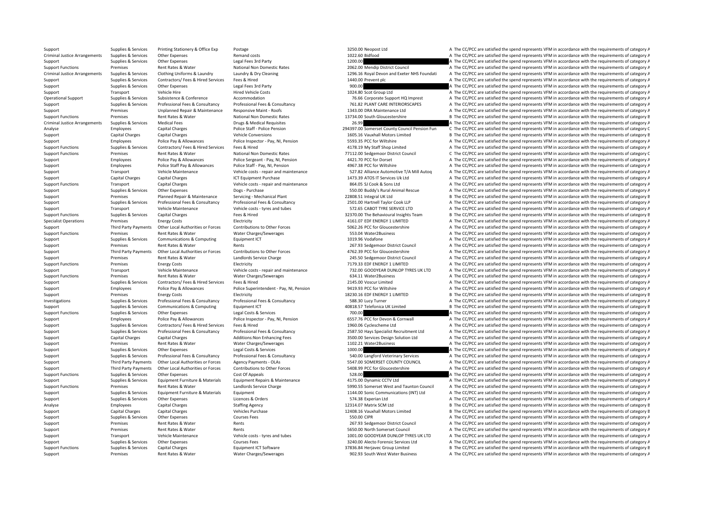Support Premises Rent Rates & Water Water Charges/Sewerages 902.93 South West Water Business A The CC/PCC are satisfied the spend represents VFM in accordance with the requirements of category A

Support Supplies & Services Printing Stationery & Office Exp Postage 3250.00 Neopost Ltd A The CC/PCC are satisfied the spend represents VFM in accordance with the requirements of category A Criminal Justice Arrangements Supplies & Services Other Expenses Remand costs Remand costs Remand costs Remand costs 1022.60 Bidfood A The CC/PCC are satisfied the spend represents VFM in accordance with the requirements o Support Support Supplies & Services Other Expenses Legal Fees 3rd Party Legal Fees 3rd Party 1200.00 A The CC/PCC are satisfied the spend represents VFM in accordance with the requirements of category A The CC/PCC are sati Support Functions Premises Rent Rates & Water National Non Domestic Rates 2062.00 Mendip District Council A The CC/PCC are satisfied the spend represents VFM in accordance with the requirements of category A Criminal Justice Arrangements Supplies & Services Clothing Uniforms & Laundry Laundry & Dry Cleaning Laundry & Dry Cleaning 1996.16 Royal Devon and Exeter NHS Foundati A The CC/PCC are satisfied the spend represents VFM in Support Supplies & Services Contractors/ Fees & Hired Services Fees & Hired Services Fees & Hired 1440.00 Prevent plc A The CC/PCC are satisfied the spend represents VFM in accordance with the requirements of category A Support Supplies & Services Other Expenses Legal Fees 3rd Party 1990.00 900.00 900.00 A The CC/PCC are satisfied the spend represents VFM in accordance with the requirements of category A Support Transport Vehicle Hire A Conference Hired Vehicle Costs Hired Vehicle Costs 1024.80 Scot Group Ltd A The CC/PCC are satisfied the spend represents VFM in accordance with the requirements of category A The Cordinal Operational Support Material Support Supplies & Services Subsistence & Conference Accommodation 76.66 Corporate Support HQ Imprest A The CC/PCC are satisfied the spend represents VFM in accordance with the requirements of Supplies & Services Professional Fees & Consultancy Professional Fees & Consultancy Professional Fees & Consultancy Professional Fees & Consultancy Professional Fees & Consultancy Professional Fees & Consultancy 761.82 PLA Support Premises Maintenance Responsive Maint – Roofs 1343.00 DRA Maintenance Ltd A The CC/PCC are satisfied the spend represents VFM in accordance with the requirements of category A The CO/PCC are satisfied the spend rep Support Functions Premises Rent Rates & Water National Non Domestic Rates 13734.00 South Gloucestershire B The CC/PCC are satisfied the spend represents VFM in accordance with the requirements of category B Criminal Justice Arrangements Supplies & Services Medical Fees 2009 Drugs & Medical Requisites Drugs & Medical Requisites 26.99 204397.00 Somerset County Council Pension Fun C The CC/PCC are satisfied the spend represents Employees Capital Charges Police Staff - Police Pension 294397.00 Somerset Council Pension Fun C The CC/PCC are satisfied the spend represents VFM in accordance with the requirements of category C Support Capital Charges Capital Charges Vehicle Conversions Vehicle Conversions 1605.16 Vauxhall Motors Limited B The CC/PCC are satisfied the spend represents VFM in accordance with the requirements of category B Support Employees Police Pay & Allowances Police Inspector - Pay, NI, Pension Folice Inspector - Pay, NI, Pension 5593.35 PCC for Wiltshire A The CC/PCC are satisfied the spend represents VFM in accordance with the require A The CC/PCC are satisfied the spend represents VFM in accordance with the requirements of category A Support Functions Premises Rent Rates & Water National Non Domestic Rates 77112.00 Sedgemoor District Council C The CC/PCC are satisfied the spend represents VFM in accordance with the requirements of category C Support Employees Police Pay & Allowances Police Sergeant - Pay, NI, Pension 4421.70 PCC for Dorset A The CC/PCC are satisfied the spend represents VFM in accordance with the requirements of category A Support Employees Police Staff Pay & Allowances Police Staff - Pay, NI, Pension 4967.38 PCC for Wiltshire A The CC/PCC are satisfied the spend represents VFM in accordance with the requirements of category A Support Transport Vehicle Maintenance Vehicle costs ‐ repair and maintenance 527.82 Alliance Automotive T/A Mill Autoq A The CC/PCC are satisfied the spend represents VFM in accordance with the requirements of category A T Support Capital Charges Capital Charges ICT Equipment Purchase 1473.39 ATOS IT Services Uk Ltd A The CC/PCC are satisfied the spend represents VFM in accordance with the requirements of category A Support Functions Transport Capital Charges Vehicle costs - repair and maintenance 864.05 SJ Cook & Sons Ltd A The CC/PCC are satisfied the spend represents VFM in accordance with the requirements of category A Support Supplies & Services Other Expenses Dogs - Purchase Dogs and Dogs and the Services Dogs and the CC/PCC are satisfied the spend represents VFM in accordance with the requirements of category A Support Premises Planned Repair & Maintenance Servicing - Mechanical Plant 22808.51 Integral UK Ltd B The CC/PCC are satisfied the spend represents VFM in accordance with the requirements of category B Support Supplies & Services Professional Fees & Consultancy Professional Fees & Consultancy Professional Fees & Consultancy Professional Fees & Consultancy 2501.00 Hartnell Taylor Cook LLP A The CC/PCC are satisfied the sp Support Transport Vehicle Maintenance Vehicle costs • tyres and tubes 572.65 CABOT TYRE SERVICE LTD A The CC/PCC are satisfied the spend represents VFM in accordance with the requirements of category A Support Functions Supplies & Services Capital Charges Fees & Hired Fees & Hired 32370.00 The Behavioural Insights Team B The CC/PCC are satisfied the spend represents VFM in accordance with the requirements of category B Specialist Operations Premises Energy Costs Electricity Electricity Electricity A The CC/PCC are satisfied the spend represents VFM in accordance with the requirements of category A Third Party Payments Other Local Authorities or Forces Contributions to Other Forces of the COPCO of Contributions of Duber Forces 5062.26 PCC for Gloucestershire A The CC/PCC are satisfied the spend represents VFM in acco Support Functions Premises Rent Rates & Water Water Water Charges/Sewerages 553.04 Water2Business A The CC/PCC are satisfied the spend represents VFM in accordance with the requirements of category A The Criterian and prop Support Supplies & Services Communications & Computing Faujoment ICT 1019.96 Vodafone 1019.96 Vodafone A The CC/PCC are satisfied the spend represents VFM in accordance with the requirements of category A Support Premises Rent Rates & Water Rents Rents Rents 267.93 Sedgemoor District Council A The CC/PCC are satisfied the spend represents VFM in accordance with the requirements of category A Third Party Payments Other Local Authorities or Forces Contributions to Other Forces 20011 4762.39 PCC for Gloucestershire A The CC/PCC are satisfied the spend represents VFM in accordance with the requirements of category Support Premises Support Premises Rent Rates & Water Landlords Service Charge 245.50 Sedgemoor District Council A The CC/PCC are satisfied the spend represents VFM in accordance with the requirements of category A Support Support Functions Premises Energy Costs Electricity Electricity Electricity Electricity Electricity Electricity and maintenance 7179.33 EDF ENERGY 1 LIMITED A The CC/PCC are satisfied the spend represents VFM in accordance Support Transport Vehicle Maintenance Vehicle costs - repair and maintenance 732.00 GOODYEAR DUNLOP TYRES UK LTD A The CC/PCC are satisfied the spend represents VFM in accordance with the requirements of category A Support Functions Premises Rent Rates & Water Water Charges/Sewerages 634.11 Water2Business A The CC/PCC are satisfied the spend represents VFM in accordance with the requirements of category A Support Supplies & Services Contractors/ Fees & Hired Services Fees & Hired Services Fees & Hired 2145.00 Voscur Limited A The CC/PCC are satisfied the spend represents VFM in accordance with the requirements of category A Support Employees Police Pay & Allowances Police Superintendent - Pay, NI, Pension 9419.93 PCC for Wiltshire A The CC/PCC are satisfied the spend represents VFM in accordance with the requirements of category A Support Premises Energy Costs Electricity Electricity 18230.16 EDF ENERGY 1 LIMITED B The CC/PCC are satisfied the spend represents VFM in accordance with the requirements of category B Investigations Supplies & Services Professional Fees & Consultancy Professional Fees & Consultancy Professional Fees & Consultancy Professional Fees & Consultancy Professional Fees & Consultancy Stategory A The CC/PCC are Support Supplies & Services Communications & Computing Equipment ICT 40818.57 Telefonica UK Limited B The CC/PCC are satisfied the spend represents VFM in accordance with the requirements of category E Support Functions Supplies & Services Other Expenses Legal Costs & Services Legal Costs & Services Legal Costs & Services Police Inspector - Pay, NI, Pension 700.00 A The CC/PCC are satisfied the spend represents VFM in ac Support Employees Police Pay & Allowances Police Inspector - Pay, NI, Pension 6557.76 PCC for Devon & Cornwall A The CC/PCC are satisfied the spend represents VFM in accordance with the requirements of category A Support Supplies & Services Contractors/ Fees & Hired Services Fees & Hired Services Fees & Hired 1960.06 Cyclescheme Ltd A The CC/PCC are satisfied the spend represents VFM in accordance with the requirements of category Supplies & Services Professional Fees & Consultancy Professional Fees & Consultancy Professional Fees & Consultancy Professional Fees & Consultancy Professional Fees & Consultancy Professional Fees & Consultancy 2587.50 Ha Support Capital Charges Capital Charges Additions:Non Enhancing Fees 3500.00 Services Design Solution Ltd A The CC/PCC are satisfied the spend represents VFM in accordance with the requirements of category A Support Premises Support Rent Rates & Water Water Charges/Sewerages Mater 2002.21 Water2Business A The CC/PCC are satisfied the spend represents VFM in accordance with the requirements of category A The Coronace with the r Support Supplies & Services Other Expenses Legal Costs & Services Legal Costs & Services A The CC/PCC are satisfied the spend represents VFM in accordance with the requirements of category A Supplies & Services Professional Fees & Consultancy Professional Fees & Consultancy Professional Fees & Consultancy Professional Fees & Consultancy Professional Fees & Consultancy Professional Fees & Consultancy Services 5 Support Third Party Payments Other Local Authorities or Forces Agency Payments - OLAs 5547.00 SOMERSET COUNTY COUNCIL A The CC/PCC are satisfied the spend represents VFM in accordance with the requirements of category A Third Party Payments Other Local Authorities or Forces Contributions to Other Forces S408.99 PCC for Gloucestershire A The CC/PCC are satisfied the spend represents VFM in accordance with the requirements of category A Support Functions Supplies & Services Other Expenses Cost Of Appeals Cost Of Appeals Cost Of Appeals Cost Of Appeals 528.00 Support Functions and COVEC are satisfied the spend represents VFM in accordance with the requirem Support Supplies & Services Equipment Furniture & Materials Equipment Repairs & Maintenance 4175.00 Dynamic CCTV Ltd A The CC/PCC are satisfied the spend represents VFM in accordance with the requirements of category A Support Functions Premises Premises Rent Rates & Water Landlords Service Charge Landlords Service Charge Landlords Service Charge Support Support A The CC/PCC are satisfied the spend represents VFM in accordance with the r Support Supplies & Services Equipment Furniture & Materials Equipment 1144.00 Sonic Communications (INT) Ltd A The CC/PCC are satisfied the spend represents VFM in accordance with the requirements of category A Support Supplies & Services Other Expenses Licences & Orders Stategory A The CC/PCC are satisfied the spend represents VFM in accordance with the requirements of category A Analyse Employees Capital Charges Staffing Agency Staffing Agency 12314.07 Matrix SCM Ltd B The CC/PCC are satisfied the spend represents VFM in accordance with the requirements of category E<br>Support Capital Charges Capita Support Capital Charges Capital Charges Vehicles Purchase Vehicles Purchase 12408.16 Vauxhall Motors Limited B The CC/PCC are satisfied the spend represents VFM in accordance with the requirements of category B Support Supplies & Services Other Expenses Courses Fees Courses Fees 550.00 CIPR 550.00 CIPR A The CC/PCC are satisfied the spend represents VFM in accordance with the requirements of category A Support Premises Rent Rates & Water Rents Rents Rents 267.93 Sedgemoor District Council A The CC/PCC are satisfied the spend represents VFM in accordance with the requirements of category A The crystal and the council a sp Support Premises Rent Rates & Water Rents Rents Rents Settember 2012 Council Settember 2013 Council A The CC/PCC are satisfied the spend represents VFM in accordance with the requirements of category A Support Transport Vehicle Maintenance Vehicle costs – tyres and tubes 1001.00 GOODYEAR DUNLOP TYRES UK LTD A The CC/PCC are satisfied the spend represents VFM in accordance with the requirements of category A Support Supplies & Services Other Expenses Courses Fees Courses Fees Save and A The CC/PCC are satisfied the spend represents VFM in accordance with the requirements of category A Support Functions Supplies & Services Capital Charges Equipment ICT Software Equipment ICT Software 37836.84 Herjavec Group Limited B The CC/PCC are satisfied the spend represents VFM in accordance with the requirements of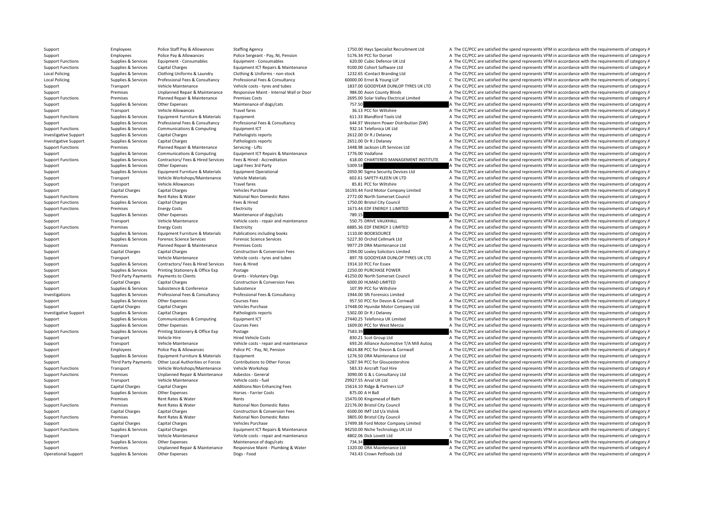Support Employees Police Staff Pay & Allowances Staffing Agency 1750.00 Hays Specialist Recruitment Ltd A The CC/PCC are satisfied the spend represents VFM in accordance with the requirements of category A Support Employees Police Pay & Allowances Police Sergeant - Pay, NI, Pension 5176.34 PCC for Dorset A The CC/PCC are satisfied the spend represents VFM in accordance with the requirements of category A The CC/PCC are satis Support Functions Supplies & Services Equipment - Consumables Equipment - Consumables Equipment - Consumables Equipment - Consumables Equipment - Consumables 620.00 Cubic Defence UK Ltd A The CC/PCC are satisfied the spend Support Functions Supplies & Services Capital Charges Equipment ICT Repairs & Maintenance 9100.00 Cohort Software Ltd A The CC/PCC are satisfied the spend represents VFM in accordance with the requirements of category A Local Policing Supplies & Services Clothing Uniforms & Laundry Clothing & Uniforms - non-stock 1232.65 iContact Branding Ltd A The CC/PCC are satisfied the spend represents VFM in accordance with the requirements of catego Local Policing Supplies & Services Professional Fees & Consultancy Professional Fees & Consultancy Professional Fees & Consultancy Professional Fees & Consultancy Professional Fees & Consultancy Professional Fees & Consult Support Transport Vehicle Maintenance Vehicle costs - tyres and tubes 1837.00 GOODYEAR DUNLOP TYRES UK LTD A The CC/PCC are satisfied the spend represents VFM in accordance with the requirements of category A Support Premises Unplanned Repair & Maintenance Responsive Maint - Internal Wall or Door 984.00 Avon County Blinds A The CC/PCC are satisfied the spend represents VFM in accordance with the requirements of category A The C Support Functions Premises Planned Repair & Maintenance Premises Costs 2695.00 Solar Valley Electrical Limited A The CC/PCC are satisfied the spend represents VFM in accordance with the requirements of category A Support Supplies & Services Other Expenses Maintenance of dogs/cats 757.50 757.50 A The CC/PCC are satisfied the spend represents VFM in accordance with the requirements of category A Support Transport Vehicle Allowances Travel fares Travel fares 36.13 PCC for Wiltshire A The CC/PCC are satisfied the spend represents VFM in accordance with the requirements of category A The Criteria of category A The CC Support Functions Supplies & Services Equipment Furniture & Materials Equipment 611.33 Blandford Tools Ltd A The CC/PCC are satisfied the spend represents VFM in accordance with the requirements of category A Supplies & Services Professional Fees & Consultancy Professional Fees & Consultancy Professional Fees & Consultancy Professional Fees & Consultancy Consultancy 644.97 Western Power Distribution (SW) A The CC/PCC are satisf A The CC/PCC are satisfied the spend represents VFM in accordance with the requirements of category A Investigative Support Supplies & Services Capital Charges Pathologists reports Pathologists reports 2612.00 Dr R J Delaney A The CC/PCC are satisfied the spend represents VFM in accordance with the requirements of category Investigative Support Supplies & Services Capital Charges Pathologists reports Pathologists reports 2651.00 Dr R J Delaney A The CC/PCC are satisfied the spend represents VFM in accordance with the requirements of category A The CC/PCC are satisfied the spend represents VFM in accordance with the requirements of category A Support Supplies & Services Communications & Computing Equipment ICT Repairs & Maintenance 1776.00 Vodafone 1776.00 Vodafone A The CC/PCC are satisfied the spend represents VFM in accordance with the requirements of catego Support Functions Supplies & Services Contractors/ Fees & Hired Services Fees & Hired - Accreditation 618.00 CHARTERED MANAGEMENT INSTITUTE A The CC/PCC are satisfied the spend represents VFM in accordance with the require Support Supplies & Services Other Expenses Legal Fees 3rd Party Legal Fees 3rd Party 5309.58 Services Contents of category A The CC/PCC are satisfied the spend represents VFM in accordance with the requirements of category Support Supplies & Services Equipment Furniture & Materials Equipment Operational Equipment Operational 2050.90 Sigma Security Devices Ltd A The CC/PCC are satisfied the spend represents VFM in accordance with the requirem Support Transport Vehicle Workshops/Maintenance Vehicle Materials 602.61 SAFETY‐KLEEN UK LTD A The CC/PCC are satisfied the spend represents VFM in accordance with the requirements of category A Support Transport Vehicle Allowances Travel fares Travel fares and the CCC are satisfied the spend represents VFM in accordance with the requirements of category A Support Capital Charges Capital Charges Vehicles Purchase Vehicles Purchase 16193.44 Ford Motor Company Limited B The CC/PCC are satisfied the spend represents VFM in accordance with the requirements of category B Support Functions Premises Rent Rates & Water National Non Domestic Rates 2772.00 North Somerset Council A The CC/PCC are satisfied the spend represents VFM in accordance with the requirements of category A Support Functions Supplies & Services Capital Charges Fees & Hired Fees & Hired 1750.00 Bristol City Council City Council A The CC/PCC are satisfied the spend represents VFM in accordance with the requirements of category Support Functions Premises Energy Costs Electricity Functions Premises Energy Costs Electricity Functions and EDF ENERGY 1 LIMITED A The CC/PCC are satisfied the spend represents VFM in accordance with the requirements of Support Supplies & Services Other Expenses Maintenance of dogs/cats 789.15 789.15 A The CC/PCC are satisfied the spend represents VFM in accordance with the requirements of category A Support Transport Vehicle Maintenance Vehicle costs - repair and maintenance 550.75 DRIVE VAUXHALL A The CC/PCC are satisfied the spend represents VFM in accordance with the requirements of category A Support Functions Premises Energy Costs Electricity Electricity 6885.36 EDF ENERGY 1 LIMITED A The CC/PCC are satisfied the spend represents VFM in accordance with the requirements of category A Support Supplies & Services Equipment Furniture & Materials Publications including books 1110.00 BOOKSOURCE A The CC/PCC are satisfied the spend represents VFM in accordance with the requirements of category A The CORC are Support Supplies & Services Forensic Science Services Forensic Science Services Forensic Science Services Forensic Science Services 5227.30 Orchid Cellmark Ltd A The CC/PCC are satisfied the spend represents VFM in accorda Support Premises Planned Repair & Maintenance Premises Costs Premises Costs 9977.29 DRA Maintenance Ltd A The CC/PCC are satisfied the spend represents VFM in accordance with the requirements of category A The Critical Con Support Capital Charges Capital Charges Construction & Conversion Fees 2394.00 Loxley Solicitors Limited A The CC/PCC are satisfied the spend represents VFM in accordance with the requirements of category A Support Transport Vehicle Maintenance Vehicle costs - tyres and tubes 897.78 GOODYEAR DUNLOP TYRES UK LTD A The CC/PCC are satisfied the spend represents VFM in accordance with the requirements of category A Support Supplies & Services Contractors/ Fees & Hired Services Fees & Hired Services Fees & Hired 1914.10 PCC For Essex A The CC/PCC are satisfied the spend represents VFM in accordance with the requirements of category A Support Supplies & Services Printing Stationery & Office Exp Postage 2250.00 PURCHASE POWER A The CC/PCC are satisfied the spend represents VFM in accordance with the requirements of category A Support Third Party Payments to Clients Grants - Voluntary Orgs 41250.00 North Somerset Council B The CC/PCC are satisfied the spend represents VFM in accordance with the requirements of category B Support Capital Charges Capital Charges Capital Charges Conversion Execution & Conversion Fees 6000.00 HLMAD LIMITED A The CC/PCC are satisfied the spend represents VFM in accordance with the requirements of category A The Support Supporter Subsistence Subsistence Subsistence Subsistence Subsistence Subsistence Subsistence Subsistence Subsistence Subsistence Subsistence Subsistence Subsistence Subsistence Subsistence Subsistence Subsistence Sunnips & Services Professional Fees & Consultancy Professional Fees & Consultancy Consultancy and the CONCLET CHARGE Imited a The CC/PCC are satisfied the spend represents VFM in accordance with the requirements of catego Support Supplies & Services Other Expenses Courses Fees Courses Fees 357.50 PCC for Devon & Cornwall A The CC/PCC are satisfied the spend represents VFM in accordance with the requirements of category A Support Capital Charges Capital Charges Vehicles Purchase Vehicles Purchase 17448.00 Hyundai Motor Company Ltd B The CC/PCC are satisfied the spend represents VFM in accordance with the requirements of category B Investigative Support Supplies & Services Capital Charges Mathologists reports Pathologists reports 5302.00 Dr R J Delaney A The CC/PCC are satisfied the spend represents VFM in accordance with the requirements of category Support Supplies & Services Communications & Computing Equipment ICT and the Services Computing Equipment ICT 27440.25 Telefonica UK Limited B The CC/PCC are satisfied the spend represents VFM in accordance with the requir Support Supplies & Services Other Expenses Courses Fees Courses Fees 1609.00 PCC for West Mercia A The CC/PCC are satisfied the spend represents VFM in accordance with the requirements of category A Support Functions Supplies & Services Printing Stationery & Office Exp Postage 7583.39 7583.39 7583.39 A The CC/PCC are satisfied the spend represents VFM in accordance with the requirements of category A Support Transport Vehicle Hire Vehicle Hire Hired Vehicle Costs Hired Vehicle Costs and maintenance and the COSTS 830.21 Scot Group Ltd A The CC/PCC are satisfied the spend represents VFM in accordance with the requirement Support Transport Vehicle Maintenance Vehicle Costs - repair and maintenance 693.26 Alliance Automotive T/A Mill Autoq A The CC/PCC are satisfied the spend represents VFM in accordance with the requirements of category A T Support Employees Police Pay & Allowances Police PC - Pay, NI, Pension 4624.88 PCC for Devon & Cornwall A The CC/PCC are satisfied the spend represents VFM in accordance with the requirements of category A Support Supplies & Services Equipment Furniture & Materials Equipment 1276.50 DRA Maintenance Ltd A The CC/PCC are satisfied the spend represents VFM in accordance with the requirements of category A Third Party Payments Other Local Authorities or Forces Contributions to Other Forces S287.94 PCC for Gloucestershire A The CC/PCC are satisfied the spend represents VFM in accordance with the requirements of category A Support Functions Transport Vehicle Workshops/Maintenance Vehicle Workshop 583.33 Aircraft Tool Hire A The CC/PCC are satisfied the spend represents VFM in accordance with the requirements of category A Support Functions Premises Unplanned Repair & Maintenance Asbestos - General 3090.00 G & L Consultancy Ltd A The CC/PCC are satisfied the spend represents VFM in accordance with the requirements of category A Transport Veh Support Transport Vehicle Maintenance Vehicle costs - fuel 29927.55 Arval UK Ltd B The CC/PCC are satisfied the spend represents VFM in accordance with the requirements of category B Support Capital Charges Capital Charges Additions:Non Enhancing Fees 15614.10 Ridge & Partners LLP B The CC/PCC are satisfied the spend represents VFM in accordance with the requirements of category E Support Supplies & Services Other Expenses Horses Farrier Costs and A The CC/PCC are satisfied the spend represents VFM in accordance with the requirements of category A Support Premises Rent Rates & Water Rents Rents Rents 15470.00 Kingsmead of Bath B The CC/PCC are satisfied the spend represents VFM in accordance with the requirements of category B Support Functions Premises Premises Rent Rates & Water National Non Domestic Rates 22176.00 Bristol City Council B The CC/PCC are satisfied the spend represents VFM in accordance with the requirements of category B The COV Support Capital Charges Capital Charges Construction & Conversion Fees 6500.00 IMT Ltd t/a Vislink A The CC/PCC are satisfied the spend represents VFM in accordance with the requirements of category A Support Functions Premises Rent Rates & Water National Non Domestic Rates 3805.00 Bristol City Council A The CC/PCC are satisfied the spend represents VFM in accordance with the requirements of category A Support Capital Charges Capital Charges Capital Charges Vehicles Purchase Vehicles Purchase 17499.38 Ford Motor Company Limited B The CC/PCC are satisfied the spend represents VFM in accordance with the requirements of cat C The CC/PCC are satisfied the spend represents VFM in accordance with the requirements of category C Support Transport Vehicle Maintenance Vehicle costs - repair and maintenance 4802.06 Dick Lovett Ltd A The CC/PCC are satisfied the spend represents VFM in accordance with the requirements of category A Support Supplies & Services Other Expenses Maintenance of dogs/cats 734.34 734.34 A The CC/PCC are satisfied the spend represents VFM in accordance with the requirements of category A Support Premises Unplanned Repair & Maintenance Responsive Maint - Plumbing & Water 1320.00 DRA Maintenance Ltd A The CC/PCC are satisfied the spend represents VFM in accordance with the requirements of category A Operational Support Supplies & Services Other Expenses Dogs - Food Dogs - Food 743.43 Crown Petfoods Ltd A The CC/PCC are satisfied the spend represents VFM in accordance with the requirements of category A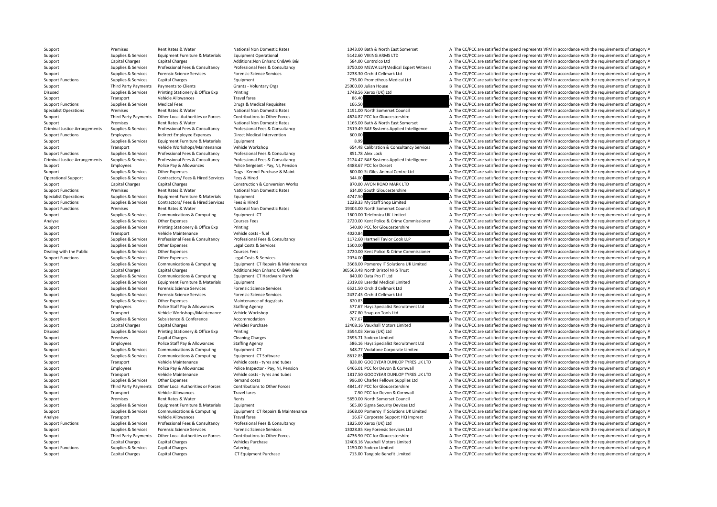Support Premises Rent Rates & Water National Non Domestic Rates 1043.00 Bath & North East Somerset A The CC/PCC are satisfied the spend represents VFM in accordance with the requirements of category A Support Supplies & Services Equipment Furniture & Materials Equipment Operational Equipment Operational 5142.60 VIKING ARMS LTD A The CC/PCC are satisfied the spend represents VFM in accordance with the requirements of cat Support Capital Charges Capital Charges Capital Charges Additions:Non Enhanc Cn&Wk B&I 584.00 Controlco Ltd A The CC/PCC are satisfied the spend represents VFM in accordance with the requirements of category A Support Supp Supplies & Services Professional Fees & Consultancy Professional Fees & Consultancy Professional Fees & Consultancy Professional Fees & Consultancy Professional Fees & Consultancy Professional Fees & Consultancy 2750.00 ME Support Support Supportes Portensic Science Services Forensic Science Services Protensic Science Services Protensic Science Services Protensies Contents are a December 2038.30 Orchid Cellmark Ltd A The CC/PCC are satisfied Support Functions Supplies & Services Capital Charges A The Comment Charges Equipment 736.00 Prometheus Medical Ltd A The CC/PCC are satisfied the spend represents VFM in accordance with the requirements of category A Support Third Party Payments Payments to Clients Grants - Voluntary Orgs 25000.00 Julian House B The CC/PCC are satisfied the spend represents VFM in accordance with the requirements of category B Disused Supplies & Services Printing Stationery & Office Exp Printing Printing Printing 1748.56 Xerox (UK) Ltd A The CC/PCC are satisfied the spend represents VFM in accordance with the requirements of category A Transport Support Transport Vehicle Allowances Travel fares Travel fares and the SAO BEAD and the CC/PCC are satisfied the spend represents VFM in accordance with the requirements of category A Support Functions Supplies & Services Medical Fees Drugs & Medical Requisites Drugs & Medical Requisites Drugs & Medical Requisites 166.50 A The CC/PCC are satisfied the spend represents VFM in accordance with the requirem Specialist Operations Premises Premises Rent Rates Rent Rates National Non Domestic Rates National Non Domestic Rates 1191.00 North Somerset Council A The CC/PCC are satisfied the spend represents VFM in accordance with th Third Party Payments Other Local Authorities or Forces Contributions to Other Forces 4624.87 PCC for Gloucestershire A The CC/PCC are satisfied the spend represents VFM in accordance with the requirements of category A Support Premises Premises Premises Rent Rates & Water National Non Domestic Rates National Non Domestic Rates 1166.00 Bath & North East Somerset A The CC/PCC are satisfied the spend represents VFM in accordance with the re A The CC/PCC are satisfied the spend represents VFM in accordance with the requirements of category A Support Functions Employees Indirect Employee Expenses Direct Medical Intervention 600.00 600.00 A The CC/PCC are satisfied the spend represents VFM in accordance with the requirements of category A Support Supplies & Services Equipment Furniture & Materials Equipment Equipment Equipment Equipment Equipment Equipment and the CC/PC are satisfied the spend represents VFM in accordance with the requirements of category A Support Transport Vehicle Workshops/Maintenance Vehicle Workshop 654.48 Calibration & Consultancy Services A The CC/PCC are satisfied the spend represents VFM in accordance with the requirements of category A Support Functions Supplies & Services Professional Fees & Consultancy Professional Fees & Consultancy 871.78 Alex Lock A The CC/PCC are satisfied the spend represents VFM in accordance with the requirements of category A Criminal Justice Arrangements Supplies & Services Professional Fees & Consultancy Professional Fees & Consultancy Professional Fees & Consultancy Professional Fees & Consultancy Professional Fees & Consultancy Professional Support Employees Police Pay & Allowances Police Sergeant - Pay, NI, Pension 4488.67 PCC for Dorset A The CC/PCC are satisfied the spend represents VFM in accordance with the requirements of category A Support Supplies & Services Other Expenses Dogs - Kennel Purchase & Maint 600.00 St Giles Animal Centre Ltd A The CC/PCC are satisfied the spend represents VFM in accordance with the requirements of category A The Criteria Operational Support Supplies & Services Contractors/ Fees & Hired Services Fees & Hired 344.00 344.00 A The CC/PCC are satisfied the spend represents VFM in accordance with the requirements of category A Support Capital Charges Capital Charges Construction & Conversion Works 870.00 AVON ROAD MARK LTD A The CC/PCC are satisfied the spend represents VFM in accordance with the requirements of category A Support Functions Premises Rent Rates & Water National Non Domestic Rates 614.00 South Gloucestershire A The CC/PCC are satisfied the spend represents VFM in accordance with the requirements of category A Specialist Operations Supplies & Services Foulyoment Furniture & Materials Foulyoment 4747.50 A The CC/PCC are satisfied the spend represents VFM in accordance with the requirements of category A Support Functions Supplies & Services Contractors/ Fees & Hired Services Fees & Hired Services Fees & Hired 1228.33 My Staff Shop Limited A The CC/PCC are satisfied the spend represents VFM in accordance with the requireme Support Functions Premises Rent Rates & Water National Non Domestic Rates 19404.00 North Somerset Council B The CC/PCC are satisfied the spend represents VFM in accordance with the requirements of category B Support Supplies & Services Communications & Computing Equipment ICT 1600.00 Telefonica UK Limited A The CC/PCC are satisfied the spend represents VFM in accordance with the requirements of category A Analyse Supplies & Services Other Expenses Courses Fees Courses Fees 2720.00 Kent Police & Crime Commissioner A The CC/PCC are satisfied the spend represents VFM in accordance with the requirements of category A Support Supplies & Services Printing Stationery & Office Exp Printing Printing States and December 540.00 PCC for Gloucestershire A The CC/PCC are satisfied the spend represents VFM in accordance with the requirements of c Support Transport Vehicle Maintenance Vehicle costs - fuel vehicle costs - fuel 4020.84 A The CC/PCC are satisfied the spend represents VFM in accordance with the requirements of category A Support Costs and the spend repr Supplies & Services Professional Fees & Consultancy Professional Fees & Consultancy Professional Fees & Consultancy Professional Fees & Consultancy 1172.60 Hartnell Taylor Cook LLP A The CC/PCC are satisfied the spend repo Support Supplies & Services Other Expenses Legal Costs & Services 1500.00 A The CC/PCC are satisfied the spend represents VFM in accordance with the requirements of category A Dealing with the Public Supplies & Services Other Expenses Courses Fees Courses Fees 2720.00 Kent Police & Crime Commissioner A The CC/PCC are satisfied the spend represents VFM in accordance with the requirements of categ Support Functions Supplies & Services Other Expenses Legal Costs & Services 2034.00 2034.00 A The CC/PCC are satisfied the spend represents VFM in accordance with the requirements of category A Supplies & Services Communications & Computing Equipment ICT Repairs & Maintenance 3568.00 Pomerov IT Solutions UK Limited A The CC/PCC are satisfied the spend represents VFM in accordance with the requirements of category Support Capital Charges Capital Charges Additions:Non Enhanc Cn&Wk B&I 305563.48 North Bristol NHS Trust C The CC/PCC are satisfied the spend represents VFM in accordance with the requirements of category C Support Support Support Support Communications & Computing Foundance Furch 840.00 Data Pro IT Ltd A The CC/PCC are satisfied the spend represents VFM in accordance with the requirements of category A Support Supplies & Services Equipment Furniture & Materials Equipment 2319.08 Laerdal Medical Limited A The CC/PCC are satisfied the spend represents VFM in accordance with the requirements of category A Support Supportes Forensic Science Services Forensic Science Services Forensic Science Services 6521.50 Orchid Cellmark Ltd A The CC/PCC are satisfied the spend represents VFM in accordance with the requirements of categor Support Support Support Support Services Forensic Science Services Properties Properties Properties 2437.45 Orchid Cellmark Ltd A The CC/PCC are satisfied the spend represents VFM in accordance with the requirements of cat Support Supplies & Services Other Expenses Maintenance of dogs/cats 820.83 820.83 A The CC/PCC are satisfied the spend represents VFM in accordance with the requirements of category A Support Employees Police Staff Pay & Allowances Staffing Agency 577.67 Hays Specialist Recruitment Ltd A The CC/PCC are satisfied the spend represents VFM in accordance with the requirements of category A Support Transport Vehicle Workshops/Maintenance Vehicle Workshop 827.80 Snap-on Tools Ltd A The CC/PCC are satisfied the spend represents VFM in accordance with the requirements of category A Support Supplies & Services Subsistence & Conference Accommodation Accommodation 707.67 A The CC/PCC are satisfied the spend represents VFM in accordance with the requirements of category A Support Capital Charges Capital Charges Vehicles Purchase 12408.16 Vauxhall Motors Limited B The CC/PCC are satisfied the spend represents VFM in accordance with the requirements of category B Disused Supplies & Services Printing Stationery & Office Exp Printing Printing 3594.03 Xerox (UK) Ltd A The CC/PCC are satisfied the spend represents VFM in accordance with the requirements of category A Support Premises Capital Charges Capital Charges Cleaning Charges Cleaning Charges Cleaning Charges Cleaning Charges 2595.71 Sodexo Limited B The CC/PCC are satisfied the spend represents VFM in accordance with the require Support Employees Police Staff Pay & Allowances Staffing Agency Staff Pay Staff Pay and the CONSCONTER STATE CONSCONTENT A The CC/PCC are satisfied the spend represents VFM in accordance with the requirements of category A Support Supplies & Services Communications & Computing Equipment ICT Software Services Support Support Support Support Support Support Support Services Communications & Computing Equipment ICT Software Support Support A Th Support Supplies & Services Communications & Computing Equipment ICT Software 8612.85 8612.85 A The CC/PCC are satisfied the spend represents VFM in accordance with the requirements of category A Support Transport Vehicle Maintenance Vehicle costs – tyres and tubes 828.00 GOODYEAR DUNLOP TYRES UK LTD A The CC/PCC are satisfied the spend represents VFM in accordance with the requirements of category A Support Employees Police Pay & Allowances Police Inspector - Pay, NI, Pension 6466.01 PCC for Devon & Cornwall A The CC/PCC are satisfied the spend represents VFM in accordance with the requirements of category A Support Transport Vehicle Maintenance Vehicle costs – tyres and tubes 1817.50 GOODYEAR DUNLOP TYRES UK LTD A The CC/PCC are satisfied the spend represents VFM in accordance with the requirements of category A The Computer Support Supplies & Services Other Expenses Remand costs Remand costs and the Service of Control of Control of Control of Control of Control of Control of Control of Control of Control of Control of Control of Control of Co Third Party Payments Other Local Authorities or Forces Contributions to Other Forces A841.47 PCC for Gloucestershire A The CC/PCC are satisfied the spend represents VFM in accordance with the requirements of category A Support Transport Vehicle Allowances Travel fares Travel fares 7.50 PCC for Devon & Cornwall A The CC/PCC are satisfied the spend represents VFM in accordance with the requirements of category A Support Rent Rent Rates & Water Rents Rents Rents Sets are the COLO North Somerset Council A The CC/PCC are satisfied the spend represents VFM in accordance with the requirements of category A Support Supplies & Services Equipment Furniture & Materials Equipment Equipment Equipment Supplies Equipment Supplies Equipment Supplies & Services Communications & Computing Equipment ICT Repairs & Maintenance 3568.00 Pom Supplies & Services Communications & Computing Equipment ICT Repairs & Maintenance 3568.00 Pomeroy IT Solutions UK Limited A The CC/PCC are satisfied the spend represents VFM in accordance with the requirements of category Analyse Transport Vehicle Allowances Travel fares 16.69 Corporate Support HQ Imprest A The CC/PCC are satisfied the spend represents VFM in accordance with the requirements of category A Support Functions Supplies & Services Professional Fees & Consultancy Professional Fees & Consultancy Professional Fees & Consultancy Professional Fees & Consultancy 1325.00 Xerox (UK) Ltd A The CC/PCC are satisfied the sp Support Supplies & Services Forensic Science Services Forensic Science Services Forensic Science Services Forensic Science Services and the spend represents of category B The CC/PCC are satisfied the spend represents VFM i Third Party Payments Other Local Authorities or Forces Contributions to Other Forces 20011 4736.90 PCC for Gloucestershire A The CC/PCC are satisfied the spend represents VFM in accordance with the requirements of category Support Capital Charges Capital Charges Vehicles Purchase Vehicles Purchase 12408.16 Vauxhall Motors Limited B The CC/PCC are satisfied the spend represents VFM in accordance with the requirements of category B Support Functions Supplies & Services Capital Charges Catering Catering Catering Catering 1150.00 Sodexo Limited A The CC/PCC are satisfied the spend represents VFM in accordance with the requirements of category A

Support Capital Charges Capital Charges Capital Charges ICT Equipment Purchase ICT Equipment Purchase 713.00 Tangible Benefit Limited A The CC/PCC are satisfied the spend represents VFM in accordance with the requirements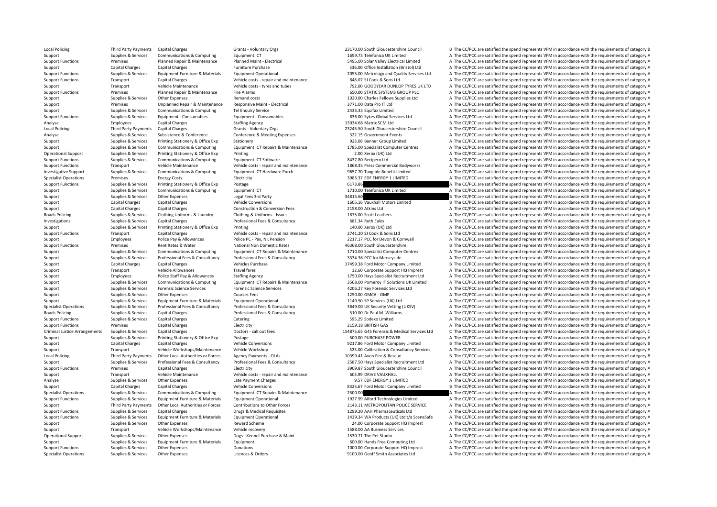Local Policing Third Party Payments Capital Charges Grants - Voluntary Orgs 23170.00 South Gloucestershire Council B The CC/PCC are satisfied the spend represents VFM in accordance with the requirements of category B Support Supplies & Services Communications & Computing Equipment ICT equipment ICT and the Services Computing Equipment ICT and the Services and the CC/PCC are satisfied the spend represents VFM in accordance with the requ Support Functions Premises Planned Repair & Maintenance Planned Maint - Electrical Support Premises Planned Maint Planned Maint - Electrical Limited Support A The CC/PCC are satisfied the spend represents VFM in accordance Support Capital Charges Capital Charges Furniture Purchase Furniture Purchase 536.00 Office Installation (Bristol) Ltd A The CC/PCC are satisfied the spend represents VFM in accordance with the requirements of category A Support Functions Supplies & Services Equipment Furniture & Materials Equipment Operational 2055.00 Metrology and Quality Services Ltd A The CC/PCC are satisfied the spend represents VFM in accordance with the requirements Support Functions Transport Capital Charges Vehicle costs - repair and maintenance 848.07 SJ Cook & Sons Ltd A The CC/PCC are satisfied the spend represents VFM in accordance with the requirements of category A Support Transport Vehicle Maintenance Vehicle costs - tyres and tubes 792.00 GOODYEAR DUNLOP TYRES UK LTD A The CC/PCC are satisfied the spend represents VFM in accordance with the requirements of category A Support Functions Premises Planned Repair & Maintenance Fire Alarms 650.00 STATIC SYSTEMS GROUP PLC A The CC/PCC are satisfied the spend represents VFM in accordance with the requirements of category A The Criteria and cos Support Supplies & Services Other Expenses Remand costs Remand costs and the CO20.00 Charles Fellows Supplies Ltd A The CC/PCC are satisfied the spend represents VFM in accordance with the requirements of category A Support Premises Unplanned Repair & Maintenance Responsive Maint - Electrical 3771.00 Data Pro IT Ltd A The CC/PCC are satisfied the spend represents VFM in accordance with the requirements of category A Support Supplies & Services Communications & Computing Tel Enquiry Service 2433.33 Equifax Limited 2433.33 Equifax Limited A The CC/PCC are satisfied the spend represents VFM in accordance with the requirements of category Support Functions Supplies & Services Equipment - Consumables Equipment - Consumables Equipment - Consumables Equipment - Consumables Equipment - Consumables Bas.00 Sykes Global Services Ltd A The CC/PCC are satisfied the Analyse Capital Charges Capital Charges Staffing Agency Staffing Agency and the Stategory Employees Stategory E<br>
13034.68 Matrix SCM Ltd B The CC/PCC are satisfied the spend represents VFM in accordance with the requiremen B The CC/PCC are satisfied the spend represents VFM in accordance with the requirements of category B Analyse Supplies & Services Subsistence & Conference Conference & Meeting Expenses 322.15 Government Events A The CC/PCC are satisfied the spend represents VFM in accordance with the requirements of category A Support Supplies & Services Printing Stationery & Office Exp Stationery Stationery Stationery 923.08 Banner Group Limited A The CC/PCC are satisfied the spend represents VFM in accordance with the requirements of category A The CC/PCC are satisfied the spend represents VFM in accordance with the requirements of category A Operational Support Supplies & Services Printing Stationery & Office Exp Printing Printing Printing 2.00 Xerox (UK) Ltd A The CC/PCC are satisfied the spend represents VFM in accordance with the requirements of category A Support Functions Supplies & Services Communications & Computing Equipment ICT Software 8437.80 Recipero Ltd A The CC/PCC are satisfied the spend represents VFM in accordance with the requirements of category A Support Functions Transport Vehicle Maintenance Vehicle costs - repair and maintenance 1868.35 Press Commercial Bodyworks A The CC/PCC are satisfied the spend represents VFM in accordance with the requirements of category Investigative Support Supplies & Services Communications & Computing Equipment ICT Hardware Purch 9657.70 Tangible Benefit Limited A The CC/PCC are satisfied the spend represents VFM in accordance with the requirements of Energy Costs **Electricity Specialist Contract Operations Contract Operations A The CC/PCC are satisfied the spend represents VFM in accordance with the requirements of category A** Support Functions Supplies & Services Printing Stationery & Office Exp Postage 6173.86 6173.86 A The CC/PCC are satisfied the spend represents VFM in accordance with the requirements of category A Support Supplies & Services Communications & Computing Equipment ICT 1710.00 Telefonica UK Limited A The CC/PCC are satisfied the spend represents VFM in accordance with the requirements of category A Support Supplies & Services Other Expenses Legal Fees 3rd Party 34815.60 34815.60 B The CC/PCC are satisfied the spend represents VFM in accordance with the requirements of category B Support Capital Charges Capital Charges Vehicle Conversions Vehicle Conversions 1605.16 Vauxhall Motors Limited B The CC/PCC are satisfied the spend represents VFM in accordance with the requirements of category B The Crim Support Capital Charges Capital Charges Construction & Conversion Fees 2158.00 Atkins Ltd A The CC/PCC are satisfied the spend represents VFM in accordance with the requirements of category A The CC/PCC are satisfied the s Roads Policing Supplies & Services Clothing Uniforms & Laundry Clothing & Uniforms - Issues 1875.00 Scott Leathers 1875.00 Scott Leathers A The CC/PCC are satisfied the spend represents VFM in accordance with the requireme Investigations Supplies & Services Capital Charges Professional Fees & Consultancy 681.34 Ruth Eales A The CC/PCC are satisfied the spend represents VFM in accordance with the requirements of category A Support Supplies & Services Printing Stationery & Office Exp Printing Printing States and The CONS CONSTANTING CONSTANTING A The CC/PCC are satisfied the spend represents VFM in accordance with the requirements of category Support Functions Transport Capital Charges Vehicle costs ‐ repair and maintenance 2741.20 SJ Cook & Sons Ltd A The CC/PCC are satisfied the spend represents VFM in accordance with the requirements of category A The Cook A Support Employees Police Pay & Allowances Police PC - Pay, NI, Pension 2217.17 PCC for Devon & Cornwall A The CC/PCC are satisfied the spend represents VFM in accordance with the requirements of category A Support Functions Premises Rent Rates & Water National Non Domestic Rates 46368.00 South Gloucestershire B The CC/PCC are satisfied the spend represents VFM in accordance with the requirements of category B Supplies & Services Communications & Computing Equipment ICT Repairs & Maintenance 1710.00 Specialist Computer Centres A The CC/PCC are satisfied the spend represents VFM in accordance with the requirements of category A Support Supportes Professional Fees & Consultancy Professional Fees & Consultancy 3334.36 PCC for Merseyside A The CC/PCC are satisfied the spend represents VFM in accordance with the requirements of category A Support Capital Charges Capital Charges Vehicles Purchase Vehicles Purchase 17499.38 Ford Motor Company Limited B The CC/PCC are satisfied the spend represents VFM in accordance with the requirements of category B Support Transport Vehicle Allowances Travel fares 12.60 Corporate Support HQ Imprest A The CC/PCC are satisfied the spend represents VFM in accordance with the requirements of category A Support Employees Police Staff Pay & Allowances Staffing Agency 1750.00 Hays Specialist Recruitment Ltd A The CC/PCC are satisfied the spend represents VFM in accordance with the requirements of category A Supplies & Services Communications & Computing Equipment ICT Repairs & Maintenance 3568.00 Pomerov IT Solutions UK Limited A The CC/PCC are satisfied the spend represents VFM in accordance with the requirements of category Support Supportes Forensic Science Services Forensic Science Services Forensic Science Services and a the CC/PCC are satisfied the spend represents VFM in accordance with the requirements of category A Support Support Support Support Other Expenses Courses Fees 1250.00 GMCA GMP A The CC/PCC are satisfied the spend represents VFM in accordance with the requirements of category A Support Supplies & Services Equipment Furniture & Materials Equipment Operational Equipment Operational 1149.50 SP Services (UK) Ltd A The CC/PCC are satisfied the spend represents VFM in accordance with the requirements o Specialist Operations Supplies & Services Professional Fees & Consultancy Professional Fees & Consultancy Professional Fees & Consultancy Consultancy 3849.00 UK Security Vetting (UKSV) A The CC/PCC are satisfied the spend Roads Policing Supplies Services Capital Charges Professional Fees & Consultancy 510.00 Dr Paul M. Williams A The CC/PCC are satisfied the spend represents VFM in accordance with the requirements of category A Support Functions Supplies & Services Capital Charges Catering Catering Catering Catering 595.29 Sodexo Limited A The CC/PCC are satisfied the spend represents VFM in accordance with the requirements of category A Support Functions Premises Capital Charges Electricity Electricity 2159.18 BRITISH GAS A The CC/PCC are satisfied the spend represents VFM in accordance with the requirements of category A Criminal Justice Arrangements Supplies & Services Capital Charges Doctors - call out fees Doctors - call out fees Doctors - call out fees and the spend celeration of category C apital Charges Doctors - call out fees and th Support Supplies & Services Printing Stationery & Office Exp Postage 500.00 PURCHASE POWER 500.00 PURCHASE POWER A The CC/PCC are satisfied the spend represents VFM in accordance with the requirements of category A Support Capital Charges Capital Charges Capital Charges Vehicle Conversions Vehicle Conversions Vehicle Conversions 19217.86 Ford Motor Company Limited B The CC/PCC are satisfied the spend represents VFM in accordance with Support Transport Vehicle Workshops/Maintenance Vehicle Workshop 523.00 Calibration & Consultancy Services A The CC/PCC are satisfied the spend represents VFM in accordance with the requirements of category A Local Policing Third Party Payments Other Local Authorities or Forces Agency Payments - OLAs 10399.41 Avon Fire & Rescue B The CC/PCC are satisfied the spend represents VFM in accordance with the requirements of category B Supplies & Services Professional Fees & Consultancy Professional Fees & Consultancy Professional Fees & Consultancy Professional Fees & Consultancy Professional Fees & Consultancy Professional Fees & Consultancy 2587.50 Ha Support Functions Premises Capital Charges Electricity Electricity and the CC/PCC are satisfied the spend represents VFM in accordance with the requirements of category A Support Transport Vehicle Maintenance Vehicle costs - repair and maintenance 603.99 DRIVE VAUXHALL A The CC/PCC are satisfied the spend represents VFM in accordance with the requirements of category A The CALL A The CC/PCC Analyse Supplies & Services Other Expenses Late Payment Charges Late Payment Charges Late Payment Charges 20.57 EDF ENERGY 1 LIMITED A The CC/PCC are satisfied the spend represents VFM in accordance with the requirements o Support Capital Charges Capital Charges Vehicle Conversions Vehicle Conversions 8325.67 Ford Motor Company Limited B The CC/PCC are satisfied the spend represents VFM in accordance with the requirements of category B Specialist Operations Supplies & Services Communications & Computing Fquipment ICT Repairs & Maintenance 2500.00 2500.00 A The CC/PCC are satisfied the spend represents VFM in accordance with the requirements of category A Supplies & Services Equipment Furniture & Materials Foundational Equipment Operational 1977.99 Alford Technologies Limited The CC/PCC are satisfied the spend represents VFM in accordance with the requirements of category A Third Party Payments Other Local Authorities or Forces Contributions to Other Forces 2143.11 METROPOLITAN POLICE SERVICE A The CC/PCC are satisfied the spend represents VFM in accordance with the requirements of category A A The CC/PCC are satisfied the spend represents VFM in accordance with the requirements of category A Support Functions Supplies & Services Equipment Furniture & Materials Equipment Operational Equipment Operational 1439.34 WA Products (UK) Ltd t/a SceneSafe A The CC/PCC are satisfied the spend represents VFM in accordance Support Support Supplies & Services Other Expenses Antivenses Reward Scheme 24.00 Corporate Support HQ Imprest A The CC/PCC are satisfied the spend represents VFM in accordance with the requirements of category A The Suppo Support Transport Vehicle Workshops/Maintenance Vehicle recovery 1588.00 AA Business Services A The CC/PCC are satisfied the spend represents VFM in accordance with the requirements of category A Operational Support Supplies & Services Other Expenses Dogs - Kennel Purchase & Maint 1530.71 The Pet Studio A The CC/PCC are satisfied the spend represents VFM in accordance with the requirements of category A Support Supplies & Services Equipment Furniture & Materials Equipment extends Equipment and the COD.COM Hands Free Computing Ltd A The CC/PCC are satisfied the spend represents VFM in accordance with the requirements of ca Support Functions Supplies & Services Other Expenses Donations Donations Donations 1000.00 Corporate Support HQ Imprest A The CC/PCC are satisfied the spend represents VFM in accordance with the requirements of category A Specialist Operations Supplies & Services Other Expenses Licences & Orders Licences & Orders 9100.00 Geoff Smith Associates Ltd A The CC/PCC are satisfied the spend represents VFM in accordance with the requirements of cat